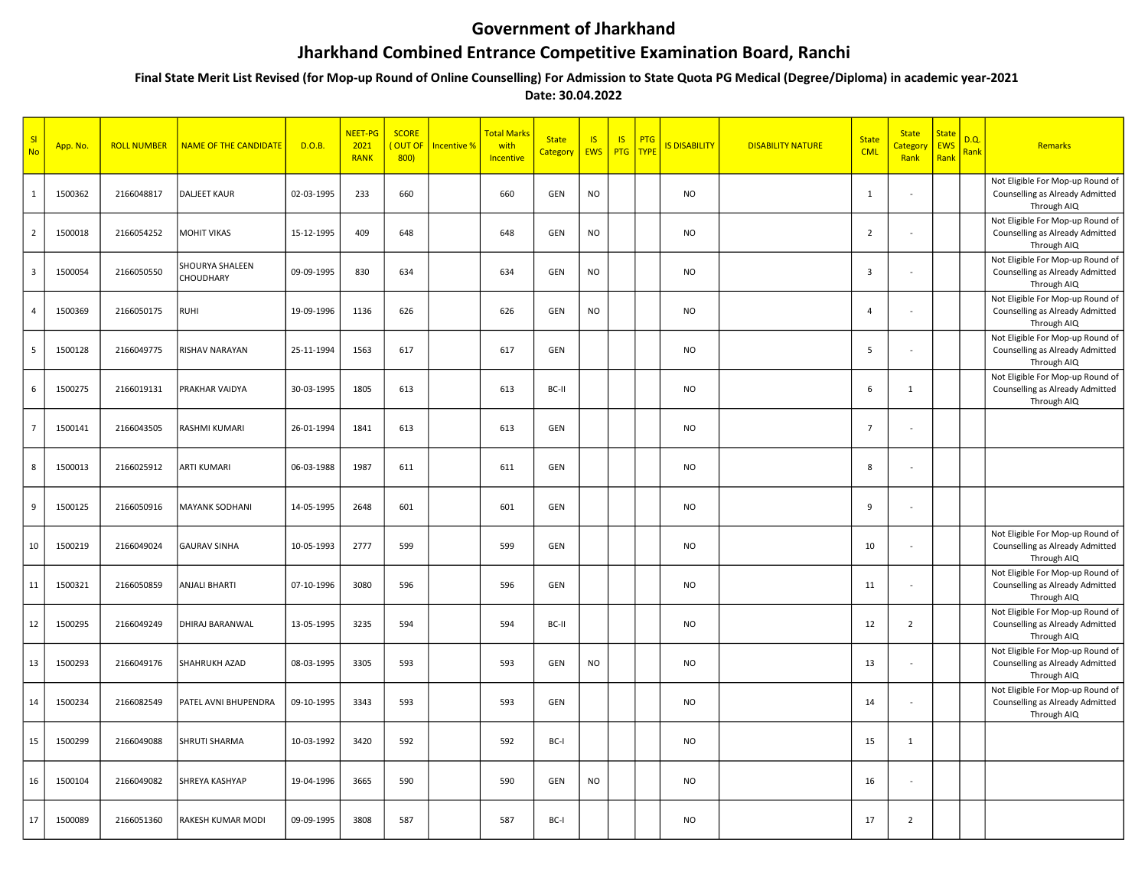## Government of Jharkhand

## Jharkhand Combined Entrance Competitive Examination Board, Ranchi

 Final State Merit List Revised (for Mop-up Round of Online Counselling) For Admission to State Quota PG Medical (Degree/Diploma) in academic year-2021 Date: 30.04.2022

| SI<br><b>No</b>         | App. No. | <b>ROLL NUMBER</b> | <b>NAME OF THE CANDIDATE</b> | D.O.B.     | <b>NEET-PG</b><br>2021<br><b>RANK</b> | <b>SCORE</b><br>OUT OF<br>800 | Incentive % | <b>Total Marks</b><br>with<br>Incentive | <b>State</b><br>Category | <b>IS</b><br><b>EWS</b> | <b>IS</b><br><b>PTG</b> | PTG<br><b>TYPE</b> | <b>IS DISABILITY</b> | <b>DISABILITY NATURE</b> | <b>State</b><br><b>CML</b> | <b>State</b><br><mark>Categor</mark> y<br>Rank | <b>State</b><br>EWS<br>Rank | D.Q.<br>Rank | Remarks                                                                            |
|-------------------------|----------|--------------------|------------------------------|------------|---------------------------------------|-------------------------------|-------------|-----------------------------------------|--------------------------|-------------------------|-------------------------|--------------------|----------------------|--------------------------|----------------------------|------------------------------------------------|-----------------------------|--------------|------------------------------------------------------------------------------------|
| $\mathbf{1}$            | 1500362  | 2166048817         | <b>DALJEET KAUR</b>          | 02-03-1995 | 233                                   | 660                           |             | 660                                     | GEN                      | N <sub>O</sub>          |                         |                    | <b>NO</b>            |                          | $\mathbf{1}$               | $\sim$                                         |                             |              | Not Eligible For Mop-up Round of<br>Counselling as Already Admitted<br>Through AIQ |
| $\overline{2}$          | 1500018  | 2166054252         | <b>MOHIT VIKAS</b>           | 15-12-1995 | 409                                   | 648                           |             | 648                                     | GEN                      | N <sub>O</sub>          |                         |                    | <b>NO</b>            |                          | $\overline{2}$             | $\sim$                                         |                             |              | Not Eligible For Mop-up Round of<br>Counselling as Already Admitted<br>Through AIQ |
| $\overline{\mathbf{3}}$ | 1500054  | 2166050550         | SHOURYA SHALEEN<br>CHOUDHARY | 09-09-1995 | 830                                   | 634                           |             | 634                                     | GEN                      | <b>NO</b>               |                         |                    | NO                   |                          | $\overline{\mathbf{3}}$    | in 1919.                                       |                             |              | Not Eligible For Mop-up Round of<br>Counselling as Already Admitted<br>Through AIQ |
| $\overline{4}$          | 1500369  | 2166050175         | <b>RUHI</b>                  | 19-09-1996 | 1136                                  | 626                           |             | 626                                     | GEN                      | <b>NO</b>               |                         |                    | NO                   |                          | $\overline{4}$             |                                                |                             |              | Not Eligible For Mop-up Round of<br>Counselling as Already Admitted<br>Through AIQ |
| 5                       | 1500128  | 2166049775         | RISHAV NARAYAN               | 25-11-1994 | 1563                                  | 617                           |             | 617                                     | GEN                      |                         |                         |                    | <b>NO</b>            |                          | 5                          |                                                |                             |              | Not Eligible For Mop-up Round of<br>Counselling as Already Admitted<br>Through AIQ |
| 6                       | 1500275  | 2166019131         | PRAKHAR VAIDYA               | 30-03-1995 | 1805                                  | 613                           |             | 613                                     | BC-II                    |                         |                         |                    | <b>NO</b>            |                          | 6                          | $\mathbf{1}$                                   |                             |              | Not Eligible For Mop-up Round of<br>Counselling as Already Admitted<br>Through AIQ |
| $\overline{7}$          | 1500141  | 2166043505         | RASHMI KUMARI                | 26-01-1994 | 1841                                  | 613                           |             | 613                                     | GEN                      |                         |                         |                    | NO                   |                          | $\overline{7}$             | $\sim$                                         |                             |              |                                                                                    |
| 8                       | 1500013  | 2166025912         | <b>ARTI KUMARI</b>           | 06-03-1988 | 1987                                  | 611                           |             | 611                                     | GEN                      |                         |                         |                    | <b>NO</b>            |                          | 8                          | $\sim$                                         |                             |              |                                                                                    |
| 9                       | 1500125  | 2166050916         | MAYANK SODHANI               | 14-05-1995 | 2648                                  | 601                           |             | 601                                     | GEN                      |                         |                         |                    | <b>NO</b>            |                          | 9                          | $\sim$                                         |                             |              |                                                                                    |
| 10                      | 1500219  | 2166049024         | <b>GAURAV SINHA</b>          | 10-05-1993 | 2777                                  | 599                           |             | 599                                     | GEN                      |                         |                         |                    | <b>NO</b>            |                          | 10                         | $\sim$                                         |                             |              | Not Eligible For Mop-up Round of<br>Counselling as Already Admitted<br>Through AIQ |
| 11                      | 1500321  | 2166050859         | <b>ANJALI BHARTI</b>         | 07-10-1996 | 3080                                  | 596                           |             | 596                                     | GEN                      |                         |                         |                    | NO                   |                          | 11                         | $\sim$                                         |                             |              | Not Eligible For Mop-up Round of<br>Counselling as Already Admitted<br>Through AIQ |
| 12                      | 1500295  | 2166049249         | DHIRAJ BARANWAL              | 13-05-1995 | 3235                                  | 594                           |             | 594                                     | BC-II                    |                         |                         |                    | <b>NO</b>            |                          | 12                         | $\overline{2}$                                 |                             |              | Not Eligible For Mop-up Round of<br>Counselling as Already Admitted<br>Through AIQ |
| 13                      | 1500293  | 2166049176         | SHAHRUKH AZAD                | 08-03-1995 | 3305                                  | 593                           |             | 593                                     | GEN                      | NO                      |                         |                    | <b>NO</b>            |                          | 13                         |                                                |                             |              | Not Eligible For Mop-up Round of<br>Counselling as Already Admitted<br>Through AIQ |
| 14                      | 1500234  | 2166082549         | PATEL AVNI BHUPENDRA         | 09-10-1995 | 3343                                  | 593                           |             | 593                                     | GEN                      |                         |                         |                    | NO                   |                          | 14                         | $\sim$                                         |                             |              | Not Eligible For Mop-up Round of<br>Counselling as Already Admitted<br>Through AIQ |
| 15                      | 1500299  | 2166049088         | SHRUTI SHARMA                | 10-03-1992 | 3420                                  | 592                           |             | 592                                     | BC-I                     |                         |                         |                    | <b>NO</b>            |                          | 15                         | $\mathbf{1}$                                   |                             |              |                                                                                    |
| 16                      | 1500104  | 2166049082         | SHREYA KASHYAP               | 19-04-1996 | 3665                                  | 590                           |             | 590                                     | GEN                      | <b>NO</b>               |                         |                    | <b>NO</b>            |                          | 16                         | $\sim$                                         |                             |              |                                                                                    |
| 17                      | 1500089  | 2166051360         | RAKESH KUMAR MODI            | 09-09-1995 | 3808                                  | 587                           |             | 587                                     | BC-I                     |                         |                         |                    | <b>NO</b>            |                          | 17                         | $\overline{2}$                                 |                             |              |                                                                                    |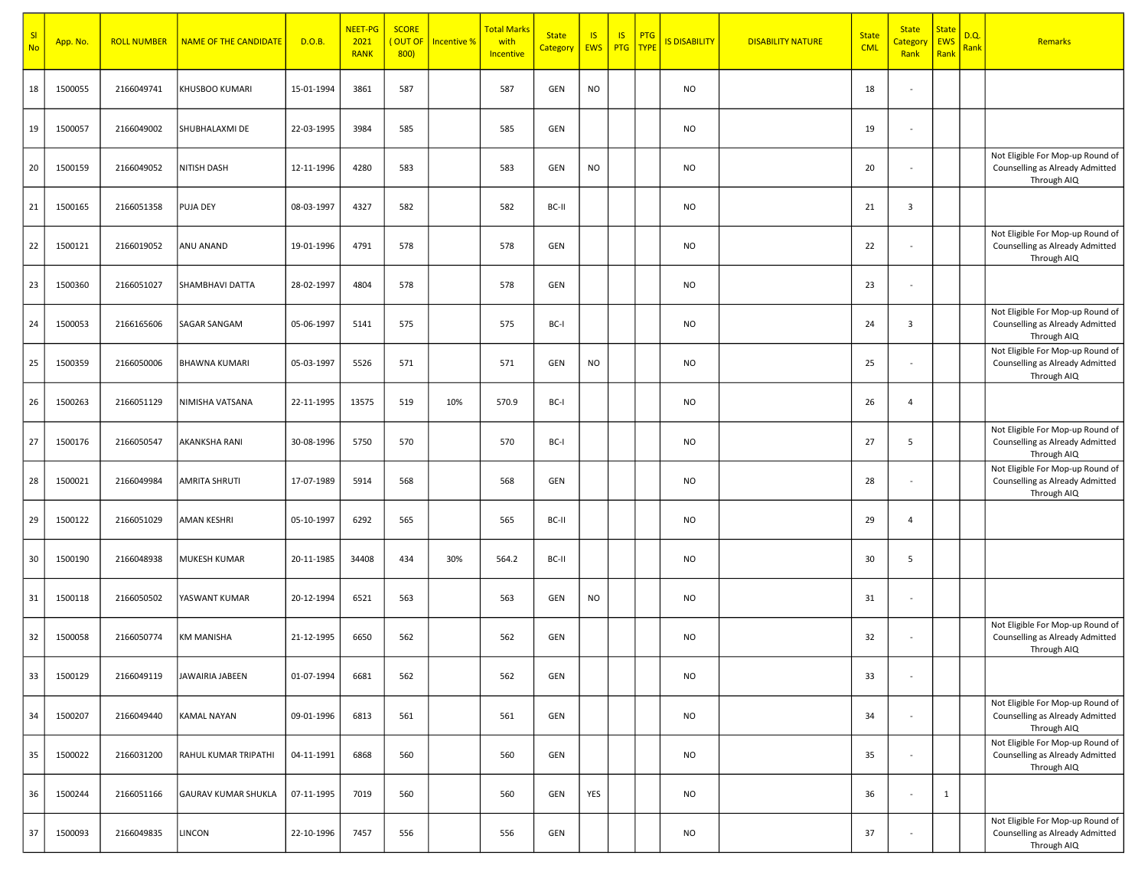| SI<br><b>No</b> | App. No. | <b>ROLL NUMBER</b> | <b>NAME OF THE CANDIDATE</b> | D.O.B.     | <b>NEET-PG</b><br>2021<br><b>RANK</b> | <b>SCORE</b><br>(OUT OF<br>800 | Incentive % | <mark>Total Marks</mark><br>with<br>Incentive | <b>State</b><br><b>Category</b> | IS<br>EWS | <b>IS</b><br><b>PTG</b> | <b>PTG</b><br><b>TYPE</b> | <b>IS DISABILITY</b> | <b>DISABILITY NATURE</b> | <b>State</b><br><b>CML</b> | <b>State</b><br><mark>Categor</mark><br>Rank | <b>State</b><br>EWS<br>Rank | D.Q.<br>Rank | Remarks                                                                            |
|-----------------|----------|--------------------|------------------------------|------------|---------------------------------------|--------------------------------|-------------|-----------------------------------------------|---------------------------------|-----------|-------------------------|---------------------------|----------------------|--------------------------|----------------------------|----------------------------------------------|-----------------------------|--------------|------------------------------------------------------------------------------------|
| 18              | 1500055  | 2166049741         | KHUSBOO KUMARI               | 15-01-1994 | 3861                                  | 587                            |             | 587                                           | GEN                             | <b>NO</b> |                         |                           | <b>NO</b>            |                          | 18                         | $\overline{\phantom{a}}$                     |                             |              |                                                                                    |
| 19              | 1500057  | 2166049002         | SHUBHALAXMI DE               | 22-03-1995 | 3984                                  | 585                            |             | 585                                           | GEN                             |           |                         |                           | <b>NO</b>            |                          | 19                         | $\blacksquare$                               |                             |              |                                                                                    |
| 20              | 1500159  | 2166049052         | NITISH DASH                  | 12-11-1996 | 4280                                  | 583                            |             | 583                                           | GEN                             | NO        |                         |                           | <b>NO</b>            |                          | 20                         | $\blacksquare$                               |                             |              | Not Eligible For Mop-up Round of<br>Counselling as Already Admitted<br>Through AIQ |
| 21              | 1500165  | 2166051358         | <b>PUJA DEY</b>              | 08-03-1997 | 4327                                  | 582                            |             | 582                                           | BC-II                           |           |                         |                           | <b>NO</b>            |                          | 21                         | $\overline{3}$                               |                             |              |                                                                                    |
| 22              | 1500121  | 2166019052         | ANU ANAND                    | 19-01-1996 | 4791                                  | 578                            |             | 578                                           | GEN                             |           |                         |                           | <b>NO</b>            |                          | 22                         | $\overline{\phantom{a}}$                     |                             |              | Not Eligible For Mop-up Round of<br>Counselling as Already Admitted<br>Through AIQ |
| 23              | 1500360  | 2166051027         | SHAMBHAVI DATTA              | 28-02-1997 | 4804                                  | 578                            |             | 578                                           | GEN                             |           |                         |                           | <b>NO</b>            |                          | 23                         | $\blacksquare$                               |                             |              |                                                                                    |
| 24              | 1500053  | 2166165606         | <b>SAGAR SANGAM</b>          | 05-06-1997 | 5141                                  | 575                            |             | 575                                           | BC-I                            |           |                         |                           | <b>NO</b>            |                          | 24                         | $\overline{3}$                               |                             |              | Not Eligible For Mop-up Round of<br>Counselling as Already Admitted<br>Through AIQ |
| 25              | 1500359  | 2166050006         | <b>BHAWNA KUMARI</b>         | 05-03-1997 | 5526                                  | 571                            |             | 571                                           | GEN                             | <b>NO</b> |                         |                           | <b>NO</b>            |                          | 25                         | $\overline{\phantom{a}}$                     |                             |              | Not Eligible For Mop-up Round of<br>Counselling as Already Admitted<br>Through AIQ |
| 26              | 1500263  | 2166051129         | NIMISHA VATSANA              | 22-11-1995 | 13575                                 | 519                            | 10%         | 570.9                                         | BC-I                            |           |                         |                           | <b>NO</b>            |                          | 26                         | 4                                            |                             |              |                                                                                    |
| 27              | 1500176  | 2166050547         | <b>AKANKSHA RANI</b>         | 30-08-1996 | 5750                                  | 570                            |             | 570                                           | BC-I                            |           |                         |                           | <b>NO</b>            |                          | 27                         | 5                                            |                             |              | Not Eligible For Mop-up Round of<br>Counselling as Already Admitted<br>Through AIQ |
| 28              | 1500021  | 2166049984         | <b>AMRITA SHRUTI</b>         | 17-07-1989 | 5914                                  | 568                            |             | 568                                           | GEN                             |           |                         |                           | <b>NO</b>            |                          | 28                         | $\blacksquare$                               |                             |              | Not Eligible For Mop-up Round of<br>Counselling as Already Admitted<br>Through AIQ |
| 29              | 1500122  | 2166051029         | <b>AMAN KESHRI</b>           | 05-10-1997 | 6292                                  | 565                            |             | 565                                           | BC-II                           |           |                         |                           | <b>NO</b>            |                          | 29                         | 4                                            |                             |              |                                                                                    |
| 30              | 1500190  | 2166048938         | MUKESH KUMAR                 | 20-11-1985 | 34408                                 | 434                            | 30%         | 564.2                                         | BC-II                           |           |                         |                           | <b>NO</b>            |                          | 30                         | 5                                            |                             |              |                                                                                    |
| 31              | 1500118  | 2166050502         | YASWANT KUMAR                | 20-12-1994 | 6521                                  | 563                            |             | 563                                           | GEN                             | <b>NO</b> |                         |                           | <b>NO</b>            |                          | 31                         | $\blacksquare$                               |                             |              |                                                                                    |
| 32              | 1500058  | 2166050774         | <b>KM MANISHA</b>            | 21-12-1995 | 6650                                  | 562                            |             | 562                                           | GEN                             |           |                         |                           | <b>NO</b>            |                          | 32                         | $\blacksquare$                               |                             |              | Not Eligible For Mop-up Round of<br>Counselling as Already Admitted<br>Through AIQ |
| 33              | 1500129  | 2166049119         | JAWAIRIA JABEEN              | 01-07-1994 | 6681                                  | 562                            |             | 562                                           | GEN                             |           |                         |                           | <b>NO</b>            |                          | 33                         | $\blacksquare$                               |                             |              |                                                                                    |
| 34              | 1500207  | 2166049440         | KAMAL NAYAN                  | 09-01-1996 | 6813                                  | 561                            |             | 561                                           | GEN                             |           |                         |                           | <b>NO</b>            |                          | 34                         | $\sim$                                       |                             |              | Not Eligible For Mop-up Round of<br>Counselling as Already Admitted<br>Through AIQ |
| 35              | 1500022  | 2166031200         | RAHUL KUMAR TRIPATHI         | 04-11-1991 | 6868                                  | 560                            |             | 560                                           | GEN                             |           |                         |                           | <b>NO</b>            |                          | 35                         | $\blacksquare$                               |                             |              | Not Eligible For Mop-up Round of<br>Counselling as Already Admitted<br>Through AIQ |
| 36              | 1500244  | 2166051166         | <b>GAURAV KUMAR SHUKLA</b>   | 07-11-1995 | 7019                                  | 560                            |             | 560                                           | GEN                             | YES       |                         |                           | <b>NO</b>            |                          | 36                         | $\blacksquare$                               | $\mathbf{1}$                |              |                                                                                    |
| 37              | 1500093  | 2166049835         | <b>LINCON</b>                | 22-10-1996 | 7457                                  | 556                            |             | 556                                           | GEN                             |           |                         |                           | <b>NO</b>            |                          | 37                         | ÷,                                           |                             |              | Not Eligible For Mop-up Round of<br>Counselling as Already Admitted<br>Through AIQ |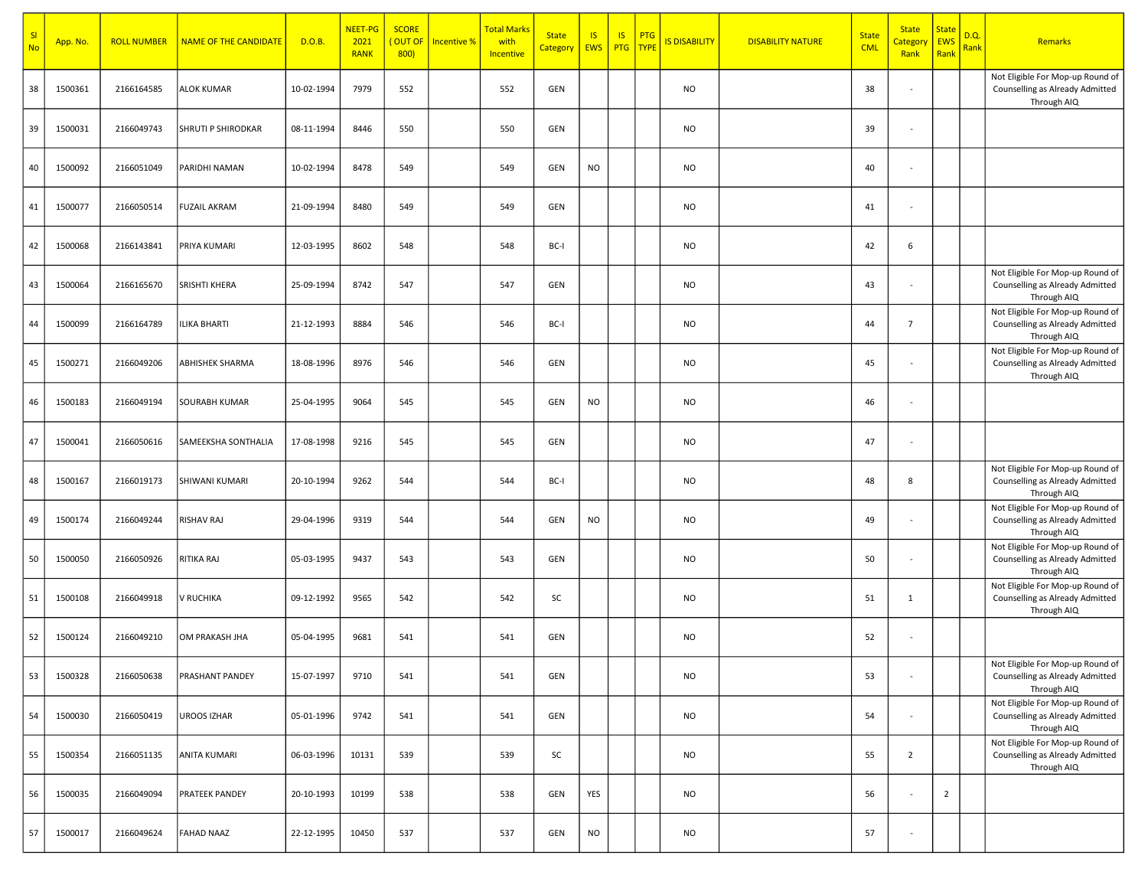| <b>SI</b><br><b>No</b> | App. No. | <b>ROLL NUMBER</b> | <b>NAME OF THE CANDIDATE</b> | D.O.B.     | NEET-PG<br>2021<br><b>RANK</b> | <b>SCORE</b><br>OUT OF<br>800) | Incentive % | <b>Total Marks</b><br>with<br>Incentive | <b>State</b><br>Category EWS | $\overline{\mathsf{S}}$ | <b>IS</b><br>PTG   TYPE | PTG | <b>IS DISABILITY</b> | <b>DISABILITY NATURE</b> | <b>State</b><br><b>CML</b> | <b>State</b><br><mark>Categor</mark> y<br>Rank | <b>State</b><br><b>EWS</b><br>Rank | D.Q<br>Rank | Remarks                                                                            |
|------------------------|----------|--------------------|------------------------------|------------|--------------------------------|--------------------------------|-------------|-----------------------------------------|------------------------------|-------------------------|-------------------------|-----|----------------------|--------------------------|----------------------------|------------------------------------------------|------------------------------------|-------------|------------------------------------------------------------------------------------|
| 38                     | 1500361  | 2166164585         | <b>ALOK KUMAR</b>            | 10-02-1994 | 7979                           | 552                            |             | 552                                     | GEN                          |                         |                         |     | <b>NO</b>            |                          | 38                         | $\overline{\phantom{a}}$                       |                                    |             | Not Eligible For Mop-up Round of<br>Counselling as Already Admitted<br>Through AIQ |
| 39                     | 1500031  | 2166049743         | SHRUTI P SHIRODKAR           | 08-11-1994 | 8446                           | 550                            |             | 550                                     | GEN                          |                         |                         |     | <b>NO</b>            |                          | 39                         | $\overline{\phantom{a}}$                       |                                    |             |                                                                                    |
| 40                     | 1500092  | 2166051049         | PARIDHI NAMAN                | 10-02-1994 | 8478                           | 549                            |             | 549                                     | GEN                          | NO                      |                         |     | <b>NO</b>            |                          | 40                         | $\sim$                                         |                                    |             |                                                                                    |
| 41                     | 1500077  | 2166050514         | <b>FUZAIL AKRAM</b>          | 21-09-1994 | 8480                           | 549                            |             | 549                                     | GEN                          |                         |                         |     | <b>NO</b>            |                          | 41                         | $\overline{\phantom{a}}$                       |                                    |             |                                                                                    |
| 42                     | 1500068  | 2166143841         | PRIYA KUMARI                 | 12-03-1995 | 8602                           | 548                            |             | 548                                     | BC-I                         |                         |                         |     | <b>NO</b>            |                          | 42                         | 6                                              |                                    |             |                                                                                    |
| 43                     | 1500064  | 2166165670         | SRISHTI KHERA                | 25-09-1994 | 8742                           | 547                            |             | 547                                     | GEN                          |                         |                         |     | <b>NO</b>            |                          | 43                         | $\sim$                                         |                                    |             | Not Eligible For Mop-up Round of<br>Counselling as Already Admitted<br>Through AIQ |
| 44                     | 1500099  | 2166164789         | <b>ILIKA BHARTI</b>          | 21-12-1993 | 8884                           | 546                            |             | 546                                     | BC-I                         |                         |                         |     | <b>NO</b>            |                          | 44                         | $\overline{7}$                                 |                                    |             | Not Eligible For Mop-up Round of<br>Counselling as Already Admitted<br>Through AIQ |
| 45                     | 1500271  | 2166049206         | <b>ABHISHEK SHARMA</b>       | 18-08-1996 | 8976                           | 546                            |             | 546                                     | GEN                          |                         |                         |     | <b>NO</b>            |                          | 45                         | $\overline{\phantom{a}}$                       |                                    |             | Not Eligible For Mop-up Round of<br>Counselling as Already Admitted<br>Through AIQ |
| 46                     | 1500183  | 2166049194         | <b>SOURABH KUMAR</b>         | 25-04-1995 | 9064                           | 545                            |             | 545                                     | GEN                          | <b>NO</b>               |                         |     | <b>NO</b>            |                          | 46                         | $\overline{\phantom{a}}$                       |                                    |             |                                                                                    |
| 47                     | 1500041  | 2166050616         | SAMEEKSHA SONTHALIA          | 17-08-1998 | 9216                           | 545                            |             | 545                                     | GEN                          |                         |                         |     | <b>NO</b>            |                          | 47                         | $\overline{\phantom{a}}$                       |                                    |             |                                                                                    |
| 48                     | 1500167  | 2166019173         | SHIWANI KUMARI               | 20-10-1994 | 9262                           | 544                            |             | 544                                     | BC-I                         |                         |                         |     | <b>NO</b>            |                          | 48                         | 8                                              |                                    |             | Not Eligible For Mop-up Round of<br>Counselling as Already Admitted<br>Through AIQ |
| 49                     | 1500174  | 2166049244         | <b>RISHAV RAJ</b>            | 29-04-1996 | 9319                           | 544                            |             | 544                                     | GEN                          | <b>NO</b>               |                         |     | <b>NO</b>            |                          | 49                         | $\overline{\phantom{a}}$                       |                                    |             | Not Eligible For Mop-up Round of<br>Counselling as Already Admitted<br>Through AIQ |
| 50                     | 1500050  | 2166050926         | RITIKA RAJ                   | 05-03-1995 | 9437                           | 543                            |             | 543                                     | GEN                          |                         |                         |     | <b>NO</b>            |                          | 50                         | $\overline{\phantom{a}}$                       |                                    |             | Not Eligible For Mop-up Round of<br>Counselling as Already Admitted<br>Through AIQ |
| 51                     | 1500108  | 2166049918         | V RUCHIKA                    | 09-12-1992 | 9565                           | 542                            |             | 542                                     | SC                           |                         |                         |     | <b>NO</b>            |                          | 51                         | $\mathbf{1}$                                   |                                    |             | Not Eligible For Mop-up Round of<br>Counselling as Already Admitted<br>Through AIQ |
| 52                     | 1500124  | 2166049210         | OM PRAKASH JHA               | 05-04-1995 | 9681                           | 541                            |             | 541                                     | GEN                          |                         |                         |     | <b>NO</b>            |                          | 52                         | $\sim$                                         |                                    |             |                                                                                    |
| 53                     | 1500328  | 2166050638         | <b>PRASHANT PANDEY</b>       | 15-07-1997 | 9710                           | 541                            |             | 541                                     | GEN                          |                         |                         |     | <b>NO</b>            |                          | 53                         | $\sim$                                         |                                    |             | Not Eligible For Mop-up Round of<br>Counselling as Already Admitted<br>Through AIQ |
| 54                     | 1500030  | 2166050419         | <b>UROOS IZHAR</b>           | 05-01-1996 | 9742                           | 541                            |             | 541                                     | GEN                          |                         |                         |     | <b>NO</b>            |                          | 54                         | $\sim$                                         |                                    |             | Not Eligible For Mop-up Round of<br>Counselling as Already Admitted<br>Through AIQ |
| 55                     | 1500354  | 2166051135         | ANITA KUMARI                 | 06-03-1996 | 10131                          | 539                            |             | 539                                     | SC                           |                         |                         |     | <b>NO</b>            |                          | 55                         | $\overline{2}$                                 |                                    |             | Not Eligible For Mop-up Round of<br>Counselling as Already Admitted<br>Through AIQ |
| 56                     | 1500035  | 2166049094         | <b>PRATEEK PANDEY</b>        | 20-10-1993 | 10199                          | 538                            |             | 538                                     | GEN                          | YES                     |                         |     | <b>NO</b>            |                          | 56                         | $\overline{\phantom{a}}$                       | $\overline{2}$                     |             |                                                                                    |
| 57                     | 1500017  | 2166049624         | <b>FAHAD NAAZ</b>            | 22-12-1995 | 10450                          | 537                            |             | 537                                     | GEN                          | <b>NO</b>               |                         |     | <b>NO</b>            |                          | 57                         | $\overline{\phantom{a}}$                       |                                    |             |                                                                                    |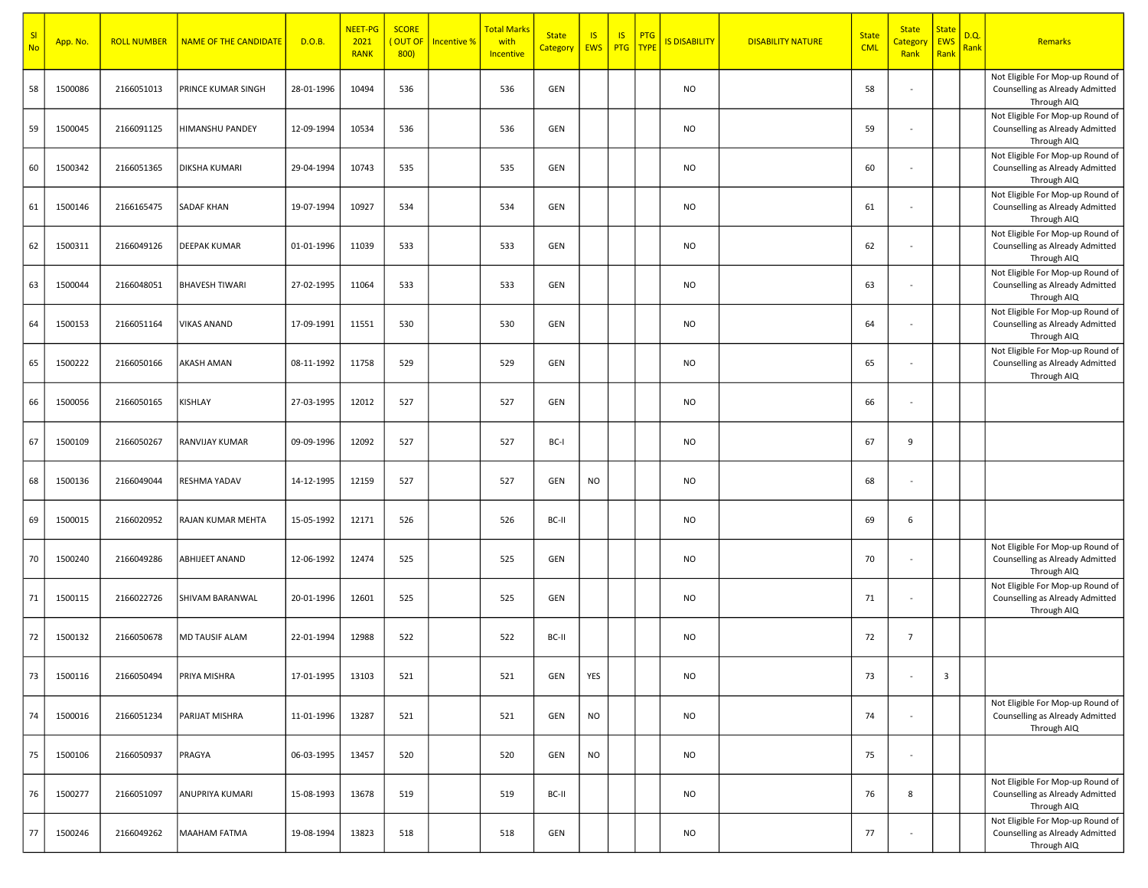| SI<br><b>No</b> | App. No. | <b>ROLL NUMBER</b> | <b>NAME OF THE CANDIDATE</b> | D.O.B.     | NEET-PG<br>2021<br><b>RANK</b> | <b>SCORE</b><br>(OUT OF<br>800 | <b>Incentive %</b> | <mark>Total Marks</mark><br>with<br>Incentive | <b>State</b><br>Category   EWS | $\overline{15}$ | IS<br>PTG   TYPE | <b>PTG</b> | <b>IS DISABILITY</b> | <b>DISABILITY NATURE</b> | <b>State</b><br><b>CML</b> | <b>State</b><br><mark>Categor</mark><br>Rank | <b>State</b><br><b>EWS</b><br>Rank | D.Q<br>Rank | Remarks                                                                            |
|-----------------|----------|--------------------|------------------------------|------------|--------------------------------|--------------------------------|--------------------|-----------------------------------------------|--------------------------------|-----------------|------------------|------------|----------------------|--------------------------|----------------------------|----------------------------------------------|------------------------------------|-------------|------------------------------------------------------------------------------------|
| 58              | 1500086  | 2166051013         | PRINCE KUMAR SINGH           | 28-01-1996 | 10494                          | 536                            |                    | 536                                           | GEN                            |                 |                  |            | <b>NO</b>            |                          | 58                         | $\overline{\phantom{a}}$                     |                                    |             | Not Eligible For Mop-up Round of<br>Counselling as Already Admitted<br>Through AIQ |
| 59              | 1500045  | 2166091125         | HIMANSHU PANDEY              | 12-09-1994 | 10534                          | 536                            |                    | 536                                           | GEN                            |                 |                  |            | <b>NO</b>            |                          | 59                         |                                              |                                    |             | Not Eligible For Mop-up Round of<br>Counselling as Already Admitted<br>Through AIQ |
| 60              | 1500342  | 2166051365         | <b>DIKSHA KUMARI</b>         | 29-04-1994 | 10743                          | 535                            |                    | 535                                           | GEN                            |                 |                  |            | <b>NO</b>            |                          | 60                         | $\sim$                                       |                                    |             | Not Eligible For Mop-up Round of<br>Counselling as Already Admitted<br>Through AIQ |
| 61              | 1500146  | 2166165475         | <b>SADAF KHAN</b>            | 19-07-1994 | 10927                          | 534                            |                    | 534                                           | GEN                            |                 |                  |            | <b>NO</b>            |                          | 61                         | $\overline{\phantom{a}}$                     |                                    |             | Not Eligible For Mop-up Round of<br>Counselling as Already Admitted<br>Through AIQ |
| 62              | 1500311  | 2166049126         | DEEPAK KUMAR                 | 01-01-1996 | 11039                          | 533                            |                    | 533                                           | GEN                            |                 |                  |            | <b>NO</b>            |                          | 62                         | $\overline{\phantom{a}}$                     |                                    |             | Not Eligible For Mop-up Round of<br>Counselling as Already Admitted<br>Through AIQ |
| 63              | 1500044  | 2166048051         | <b>BHAVESH TIWARI</b>        | 27-02-1995 | 11064                          | 533                            |                    | 533                                           | GEN                            |                 |                  |            | <b>NO</b>            |                          | 63                         | ÷,                                           |                                    |             | Not Eligible For Mop-up Round of<br>Counselling as Already Admitted<br>Through AIQ |
| 64              | 1500153  | 2166051164         | <b>VIKAS ANAND</b>           | 17-09-1991 | 11551                          | 530                            |                    | 530                                           | GEN                            |                 |                  |            | <b>NO</b>            |                          | 64                         | $\sim$                                       |                                    |             | Not Eligible For Mop-up Round of<br>Counselling as Already Admitted<br>Through AIQ |
| 65              | 1500222  | 2166050166         | <b>AKASH AMAN</b>            | 08-11-1992 | 11758                          | 529                            |                    | 529                                           | GEN                            |                 |                  |            | <b>NO</b>            |                          | 65                         | ÷,                                           |                                    |             | Not Eligible For Mop-up Round of<br>Counselling as Already Admitted<br>Through AIQ |
| 66              | 1500056  | 2166050165         | KISHLAY                      | 27-03-1995 | 12012                          | 527                            |                    | 527                                           | GEN                            |                 |                  |            | <b>NO</b>            |                          | 66                         | $\overline{\phantom{a}}$                     |                                    |             |                                                                                    |
| 67              | 1500109  | 2166050267         | RANVIJAY KUMAR               | 09-09-1996 | 12092                          | 527                            |                    | 527                                           | BC-I                           |                 |                  |            | <b>NO</b>            |                          | 67                         | 9                                            |                                    |             |                                                                                    |
| 68              | 1500136  | 2166049044         | RESHMA YADAV                 | 14-12-1995 | 12159                          | 527                            |                    | 527                                           | GEN                            | <b>NO</b>       |                  |            | <b>NO</b>            |                          | 68                         | $\sim$                                       |                                    |             |                                                                                    |
| 69              | 1500015  | 2166020952         | RAJAN KUMAR MEHTA            | 15-05-1992 | 12171                          | 526                            |                    | 526                                           | BC-II                          |                 |                  |            | <b>NO</b>            |                          | 69                         | 6                                            |                                    |             |                                                                                    |
| 70              | 1500240  | 2166049286         | ABHIJEET ANAND               | 12-06-1992 | 12474                          | 525                            |                    | 525                                           | GEN                            |                 |                  |            | <b>NO</b>            |                          | 70                         | $\overline{\phantom{a}}$                     |                                    |             | Not Eligible For Mop-up Round of<br>Counselling as Already Admitted<br>Through AIQ |
| 71              | 1500115  | 2166022726         | SHIVAM BARANWAL              | 20-01-1996 | 12601                          | 525                            |                    | 525                                           | GEN                            |                 |                  |            | <b>NO</b>            |                          | 71                         | $\sim$                                       |                                    |             | Not Eligible For Mop-up Round of<br>Counselling as Already Admitted<br>Through AIQ |
| 72              | 1500132  | 2166050678         | MD TAUSIF ALAM               | 22-01-1994 | 12988                          | 522                            |                    | 522                                           | BC-II                          |                 |                  |            | <b>NO</b>            |                          | 72                         | $\overline{7}$                               |                                    |             |                                                                                    |
| 73              | 1500116  | 2166050494         | PRIYA MISHRA                 | 17-01-1995 | 13103                          | 521                            |                    | 521                                           | GEN                            | YES             |                  |            | <b>NO</b>            |                          | 73                         |                                              | $\overline{3}$                     |             |                                                                                    |
| 74              | 1500016  | 2166051234         | PARIJAT MISHRA               | 11-01-1996 | 13287                          | 521                            |                    | 521                                           | GEN                            | <b>NO</b>       |                  |            | <b>NO</b>            |                          | 74                         | $\overline{\phantom{a}}$                     |                                    |             | Not Eligible For Mop-up Round of<br>Counselling as Already Admitted<br>Through AIQ |
| 75              | 1500106  | 2166050937         | PRAGYA                       | 06-03-1995 | 13457                          | 520                            |                    | 520                                           | GEN                            | <b>NO</b>       |                  |            | <b>NO</b>            |                          | 75                         | $\blacksquare$                               |                                    |             |                                                                                    |
| 76              | 1500277  | 2166051097         | ANUPRIYA KUMARI              | 15-08-1993 | 13678                          | 519                            |                    | 519                                           | BC-II                          |                 |                  |            | <b>NO</b>            |                          | 76                         | 8                                            |                                    |             | Not Eligible For Mop-up Round of<br>Counselling as Already Admitted<br>Through AIQ |
| 77              | 1500246  | 2166049262         | <b>MAAHAM FATMA</b>          | 19-08-1994 | 13823                          | 518                            |                    | 518                                           | GEN                            |                 |                  |            | <b>NO</b>            |                          | 77                         | $\sim$                                       |                                    |             | Not Eligible For Mop-up Round of<br>Counselling as Already Admitted<br>Through AIQ |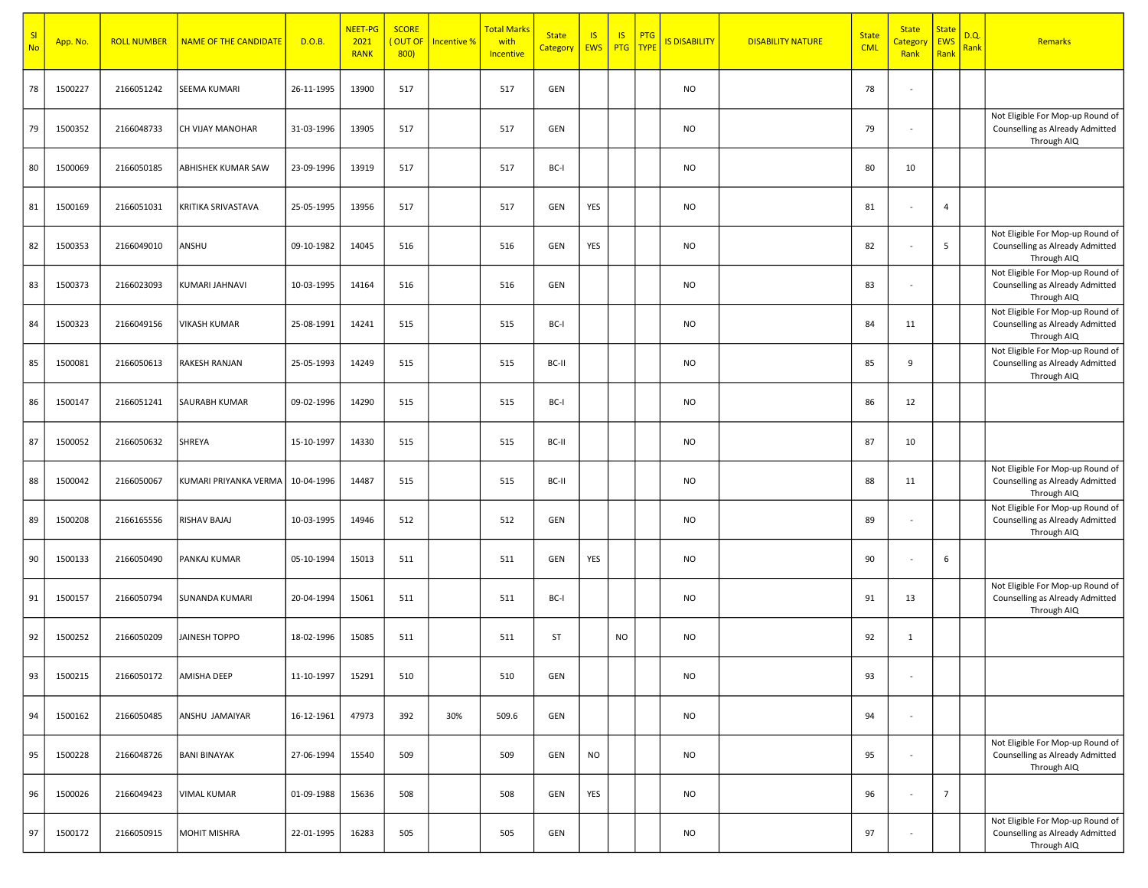| SI<br><b>No</b> | App. No. | <b>ROLL NUMBER</b> | <b>NAME OF THE CANDIDATE</b> | D.O.B.     | <b>NEET-PG</b><br>2021<br><b>RANK</b> | <b>SCORE</b><br>(OUT OF<br>800 | Incentive % | <mark>Total Marks</mark><br>with<br>Incentive | <b>State</b><br><b>Category</b> | IS<br>EWS  | <b>IS</b><br><b>PTG</b> | PTG<br><b>TYPE</b> | <b>IS DISABILITY</b> | <b>DISABILITY NATURE</b> | <b>State</b><br><b>CML</b> | <b>State</b><br><mark>Categor</mark><br>Rank | <b>State</b><br>EWS<br>Rank | D.Q.<br>Rank | Remarks                                                                            |
|-----------------|----------|--------------------|------------------------------|------------|---------------------------------------|--------------------------------|-------------|-----------------------------------------------|---------------------------------|------------|-------------------------|--------------------|----------------------|--------------------------|----------------------------|----------------------------------------------|-----------------------------|--------------|------------------------------------------------------------------------------------|
| 78              | 1500227  | 2166051242         | SEEMA KUMARI                 | 26-11-1995 | 13900                                 | 517                            |             | 517                                           | GEN                             |            |                         |                    | <b>NO</b>            |                          | 78                         | $\overline{\phantom{a}}$                     |                             |              |                                                                                    |
| 79              | 1500352  | 2166048733         | CH VIJAY MANOHAR             | 31-03-1996 | 13905                                 | 517                            |             | 517                                           | GEN                             |            |                         |                    | <b>NO</b>            |                          | 79                         | $\blacksquare$                               |                             |              | Not Eligible For Mop-up Round of<br>Counselling as Already Admitted<br>Through AIQ |
| 80              | 1500069  | 2166050185         | ABHISHEK KUMAR SAW           | 23-09-1996 | 13919                                 | 517                            |             | 517                                           | BC-I                            |            |                         |                    | <b>NO</b>            |                          | 80                         | 10                                           |                             |              |                                                                                    |
| 81              | 1500169  | 2166051031         | KRITIKA SRIVASTAVA           | 25-05-1995 | 13956                                 | 517                            |             | 517                                           | <b>GEN</b>                      | <b>YES</b> |                         |                    | <b>NO</b>            |                          | 81                         | $\overline{\phantom{a}}$                     | $\overline{4}$              |              |                                                                                    |
| 82              | 1500353  | 2166049010         | ANSHU                        | 09-10-1982 | 14045                                 | 516                            |             | 516                                           | GEN                             | <b>YES</b> |                         |                    | <b>NO</b>            |                          | 82                         | ÷,                                           | 5                           |              | Not Eligible For Mop-up Round of<br>Counselling as Already Admitted<br>Through AIQ |
| 83              | 1500373  | 2166023093         | KUMARI JAHNAVI               | 10-03-1995 | 14164                                 | 516                            |             | 516                                           | GEN                             |            |                         |                    | <b>NO</b>            |                          | 83                         | $\blacksquare$                               |                             |              | Not Eligible For Mop-up Round of<br>Counselling as Already Admitted<br>Through AIQ |
| 84              | 1500323  | 2166049156         | <b>VIKASH KUMAR</b>          | 25-08-1991 | 14241                                 | 515                            |             | 515                                           | BC-I                            |            |                         |                    | <b>NO</b>            |                          | 84                         | 11                                           |                             |              | Not Eligible For Mop-up Round of<br>Counselling as Already Admitted<br>Through AIQ |
| 85              | 1500081  | 2166050613         | RAKESH RANJAN                | 25-05-1993 | 14249                                 | 515                            |             | 515                                           | BC-II                           |            |                         |                    | <b>NO</b>            |                          | 85                         | 9                                            |                             |              | Not Eligible For Mop-up Round of<br>Counselling as Already Admitted<br>Through AIQ |
| 86              | 1500147  | 2166051241         | SAURABH KUMAR                | 09-02-1996 | 14290                                 | 515                            |             | 515                                           | BC-I                            |            |                         |                    | <b>NO</b>            |                          | 86                         | 12                                           |                             |              |                                                                                    |
| 87              | 1500052  | 2166050632         | SHREYA                       | 15-10-1997 | 14330                                 | 515                            |             | 515                                           | BC-II                           |            |                         |                    | <b>NO</b>            |                          | 87                         | 10                                           |                             |              |                                                                                    |
| 88              | 1500042  | 2166050067         | KUMARI PRIYANKA VERMA        | 10-04-1996 | 14487                                 | 515                            |             | 515                                           | BC-II                           |            |                         |                    | <b>NO</b>            |                          | 88                         | 11                                           |                             |              | Not Eligible For Mop-up Round of<br>Counselling as Already Admitted<br>Through AIQ |
| 89              | 1500208  | 2166165556         | <b>RISHAV BAJAJ</b>          | 10-03-1995 | 14946                                 | 512                            |             | 512                                           | GEN                             |            |                         |                    | <b>NO</b>            |                          | 89                         | $\overline{\phantom{a}}$                     |                             |              | Not Eligible For Mop-up Round of<br>Counselling as Already Admitted<br>Through AIQ |
| 90              | 1500133  | 2166050490         | PANKAJ KUMAR                 | 05-10-1994 | 15013                                 | 511                            |             | 511                                           | GEN                             | <b>YES</b> |                         |                    | <b>NO</b>            |                          | 90                         | $\blacksquare$                               | 6                           |              |                                                                                    |
| 91              | 1500157  | 2166050794         | <b>SUNANDA KUMARI</b>        | 20-04-1994 | 15061                                 | 511                            |             | 511                                           | BC-I                            |            |                         |                    | <b>NO</b>            |                          | 91                         | 13                                           |                             |              | Not Eligible For Mop-up Round of<br>Counselling as Already Admitted<br>Through AIQ |
| 92              | 1500252  | 2166050209         | <b>JAINESH TOPPO</b>         | 18-02-1996 | 15085                                 | 511                            |             | 511                                           | ST                              |            | <b>NO</b>               |                    | <b>NO</b>            |                          | 92                         | 1                                            |                             |              |                                                                                    |
| 93              | 1500215  | 2166050172         | AMISHA DEEP                  | 11-10-1997 | 15291                                 | 510                            |             | 510                                           | GEN                             |            |                         |                    | <b>NO</b>            |                          | 93                         | $\blacksquare$                               |                             |              |                                                                                    |
| 94              | 1500162  | 2166050485         | ANSHU JAMAIYAR               | 16-12-1961 | 47973                                 | 392                            | 30%         | 509.6                                         | GEN                             |            |                         |                    | <b>NO</b>            |                          | 94                         | $\blacksquare$                               |                             |              |                                                                                    |
| 95              | 1500228  | 2166048726         | <b>BANI BINAYAK</b>          | 27-06-1994 | 15540                                 | 509                            |             | 509                                           | GEN                             | <b>NO</b>  |                         |                    | <b>NO</b>            |                          | 95                         | $\blacksquare$                               |                             |              | Not Eligible For Mop-up Round of<br>Counselling as Already Admitted<br>Through AIQ |
| 96              | 1500026  | 2166049423         | <b>VIMAL KUMAR</b>           | 01-09-1988 | 15636                                 | 508                            |             | 508                                           | GEN                             | YES        |                         |                    | <b>NO</b>            |                          | 96                         | $\blacksquare$                               | $\overline{7}$              |              |                                                                                    |
| 97              | 1500172  | 2166050915         | MOHIT MISHRA                 | 22-01-1995 | 16283                                 | 505                            |             | 505                                           | GEN                             |            |                         |                    | <b>NO</b>            |                          | 97                         | $\blacksquare$                               |                             |              | Not Eligible For Mop-up Round of<br>Counselling as Already Admitted<br>Through AIQ |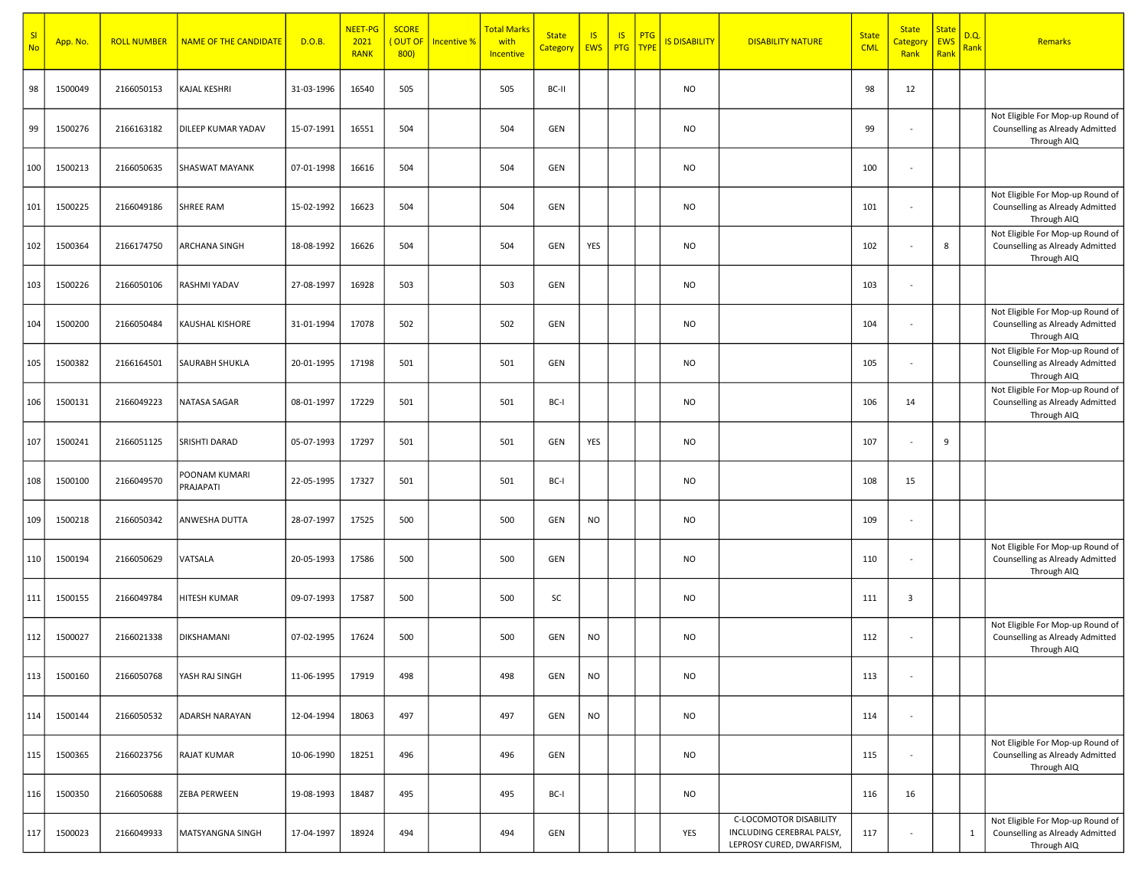| SI<br><b>No</b> | App. No. | <b>ROLL NUMBER</b> | <b>NAME OF THE CANDIDATE</b> | D.O.B.     | <b>NEET-PG</b><br>2021<br><b>RANK</b> | <b>SCORE</b><br>(OUT OF<br>800 | Incentive % | <mark>Total Marks</mark><br>with<br>Incentive | <b>State</b><br>Category | $\overline{15}$<br><b>EWS</b> | IS<br>PTG   TYPE | <b>PTG</b> | <mark>IS DISABILITY</mark> | <b>DISABILITY NATURE</b>                                                        | <b>State</b><br><b>CML</b> | <b>State</b><br>Categor<br>Rank | <b>State</b><br><b>EWS</b><br>Rank | D.Q.<br>Rank | Remarks                                                                            |
|-----------------|----------|--------------------|------------------------------|------------|---------------------------------------|--------------------------------|-------------|-----------------------------------------------|--------------------------|-------------------------------|------------------|------------|----------------------------|---------------------------------------------------------------------------------|----------------------------|---------------------------------|------------------------------------|--------------|------------------------------------------------------------------------------------|
| 98              | 1500049  | 2166050153         | KAJAL KESHRI                 | 31-03-1996 | 16540                                 | 505                            |             | 505                                           | BC-II                    |                               |                  |            | <b>NO</b>                  |                                                                                 | 98                         | 12                              |                                    |              |                                                                                    |
| 99              | 1500276  | 2166163182         | <b>DILEEP KUMAR YADAV</b>    | 15-07-1991 | 16551                                 | 504                            |             | 504                                           | GEN                      |                               |                  |            | <b>NO</b>                  |                                                                                 | 99                         | $\overline{\phantom{a}}$        |                                    |              | Not Eligible For Mop-up Round of<br>Counselling as Already Admitted<br>Through AIQ |
| 100             | 1500213  | 2166050635         | <b>SHASWAT MAYANK</b>        | 07-01-1998 | 16616                                 | 504                            |             | 504                                           | GEN                      |                               |                  |            | <b>NO</b>                  |                                                                                 | 100                        | $\blacksquare$                  |                                    |              |                                                                                    |
| 101             | 1500225  | 2166049186         | SHREE RAM                    | 15-02-1992 | 16623                                 | 504                            |             | 504                                           | GEN                      |                               |                  |            | <b>NO</b>                  |                                                                                 | 101                        | $\overline{\phantom{a}}$        |                                    |              | Not Eligible For Mop-up Round of<br>Counselling as Already Admitted<br>Through AIQ |
| 102             | 1500364  | 2166174750         | <b>ARCHANA SINGH</b>         | 18-08-1992 | 16626                                 | 504                            |             | 504                                           | GEN                      | <b>YES</b>                    |                  |            | <b>NO</b>                  |                                                                                 | 102                        | $\blacksquare$                  | 8                                  |              | Not Eligible For Mop-up Round of<br>Counselling as Already Admitted<br>Through AIQ |
| 103             | 1500226  | 2166050106         | RASHMI YADAV                 | 27-08-1997 | 16928                                 | 503                            |             | 503                                           | GEN                      |                               |                  |            | <b>NO</b>                  |                                                                                 | 103                        | $\overline{\phantom{a}}$        |                                    |              |                                                                                    |
| 104             | 1500200  | 2166050484         | <b>KAUSHAL KISHORE</b>       | 31-01-1994 | 17078                                 | 502                            |             | 502                                           | GEN                      |                               |                  |            | <b>NO</b>                  |                                                                                 | 104                        | $\overline{\phantom{a}}$        |                                    |              | Not Eligible For Mop-up Round of<br>Counselling as Already Admitted<br>Through AIQ |
| 105             | 1500382  | 2166164501         | <b>SAURABH SHUKLA</b>        | 20-01-1995 | 17198                                 | 501                            |             | 501                                           | GEN                      |                               |                  |            | <b>NO</b>                  |                                                                                 | 105                        | $\bar{a}$                       |                                    |              | Not Eligible For Mop-up Round of<br>Counselling as Already Admitted<br>Through AIQ |
| 106             | 1500131  | 2166049223         | <b>NATASA SAGAR</b>          | 08-01-1997 | 17229                                 | 501                            |             | 501                                           | BC-I                     |                               |                  |            | <b>NO</b>                  |                                                                                 | 106                        | 14                              |                                    |              | Not Eligible For Mop-up Round of<br>Counselling as Already Admitted<br>Through AIQ |
| 107             | 1500241  | 2166051125         | SRISHTI DARAD                | 05-07-1993 | 17297                                 | 501                            |             | 501                                           | GEN                      | <b>YES</b>                    |                  |            | <b>NO</b>                  |                                                                                 | 107                        | $\overline{\phantom{a}}$        | 9                                  |              |                                                                                    |
| 108             | 1500100  | 2166049570         | POONAM KUMARI<br>PRAJAPATI   | 22-05-1995 | 17327                                 | 501                            |             | 501                                           | BC-I                     |                               |                  |            | <b>NO</b>                  |                                                                                 | 108                        | 15                              |                                    |              |                                                                                    |
| 109             | 1500218  | 2166050342         | ANWESHA DUTTA                | 28-07-1997 | 17525                                 | 500                            |             | 500                                           | GEN                      | <b>NO</b>                     |                  |            | <b>NO</b>                  |                                                                                 | 109                        | $\blacksquare$                  |                                    |              |                                                                                    |
| 110             | 1500194  | 2166050629         | VATSALA                      | 20-05-1993 | 17586                                 | 500                            |             | 500                                           | GEN                      |                               |                  |            | <b>NO</b>                  |                                                                                 | 110                        | $\overline{\phantom{a}}$        |                                    |              | Not Eligible For Mop-up Round of<br>Counselling as Already Admitted<br>Through AIQ |
| 111             | 1500155  | 2166049784         | <b>HITESH KUMAR</b>          | 09-07-1993 | 17587                                 | 500                            |             | 500                                           | SC                       |                               |                  |            | <b>NO</b>                  |                                                                                 | 111                        | 3                               |                                    |              |                                                                                    |
| 112             | 1500027  | 2166021338         | <b>DIKSHAMANI</b>            | 07-02-1995 | 17624                                 | 500                            |             | 500                                           | GEN                      | <b>NO</b>                     |                  |            | <b>NO</b>                  |                                                                                 | 112                        | $\overline{\phantom{a}}$        |                                    |              | Not Eligible For Mop-up Round of<br>Counselling as Already Admitted<br>Through AIQ |
| 113             | 1500160  | 2166050768         | YASH RAJ SINGH               | 11-06-1995 | 17919                                 | 498                            |             | 498                                           | GEN                      | <b>NO</b>                     |                  |            | <b>NO</b>                  |                                                                                 | 113                        | ÷,                              |                                    |              |                                                                                    |
| 114             | 1500144  | 2166050532         | <b>ADARSH NARAYAN</b>        | 12-04-1994 | 18063                                 | 497                            |             | 497                                           | GEN                      | <b>NO</b>                     |                  |            | <b>NO</b>                  |                                                                                 | 114                        | $\blacksquare$                  |                                    |              |                                                                                    |
| 115             | 1500365  | 2166023756         | RAJAT KUMAR                  | 10-06-1990 | 18251                                 | 496                            |             | 496                                           | GEN                      |                               |                  |            | <b>NO</b>                  |                                                                                 | 115                        | $\bar{a}$                       |                                    |              | Not Eligible For Mop-up Round of<br>Counselling as Already Admitted<br>Through AIQ |
| 116             | 1500350  | 2166050688         | ZEBA PERWEEN                 | 19-08-1993 | 18487                                 | 495                            |             | 495                                           | BC-I                     |                               |                  |            | <b>NO</b>                  |                                                                                 | 116                        | 16                              |                                    |              |                                                                                    |
| 117             | 1500023  | 2166049933         | MATSYANGNA SINGH             | 17-04-1997 | 18924                                 | 494                            |             | 494                                           | GEN                      |                               |                  |            | YES                        | C-LOCOMOTOR DISABILITY<br>INCLUDING CEREBRAL PALSY,<br>LEPROSY CURED, DWARFISM, | 117                        | $\bar{a}$                       |                                    | $\mathbf{1}$ | Not Eligible For Mop-up Round of<br>Counselling as Already Admitted<br>Through AIQ |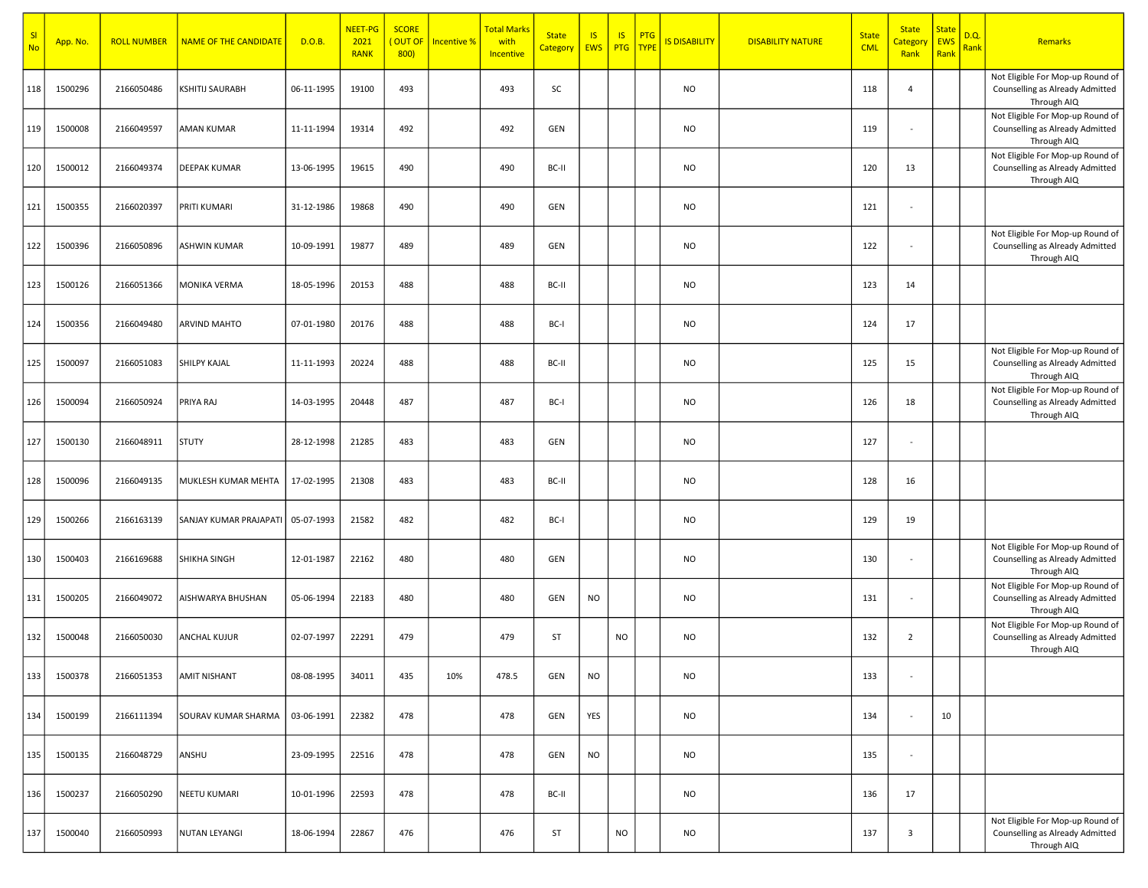| SI<br><b>No</b> | App. No. | <b>ROLL NUMBER</b> | <b>NAME OF THE CANDIDATE</b> | D.O.B.     | NEET-PG<br>2021<br><b>RANK</b> | <b>SCORE</b><br>(OUT OF<br>800) | Incentive % | <mark>Total Marks</mark><br>with<br>Incentive | <b>State</b><br><b>Category</b> | IS<br>EWS  | <b>IS</b><br><b>PTG</b> | PTG<br><b>TYPE</b> | <b>S DISABILITY</b> | <b>DISABILITY NATURE</b> | <b>State</b><br><b>CML</b> | <b>State</b><br><mark>Categor</mark><br>Rank | <b>State</b><br>EWS<br>Rank | D.Q.<br>Rank | Remarks                                                                            |
|-----------------|----------|--------------------|------------------------------|------------|--------------------------------|---------------------------------|-------------|-----------------------------------------------|---------------------------------|------------|-------------------------|--------------------|---------------------|--------------------------|----------------------------|----------------------------------------------|-----------------------------|--------------|------------------------------------------------------------------------------------|
| 118             | 1500296  | 2166050486         | <b>KSHITIJ SAURABH</b>       | 06-11-1995 | 19100                          | 493                             |             | 493                                           | SC                              |            |                         |                    | <b>NO</b>           |                          | 118                        | $\overline{4}$                               |                             |              | Not Eligible For Mop-up Round of<br>Counselling as Already Admitted<br>Through AIQ |
| 119             | 1500008  | 2166049597         | <b>AMAN KUMAR</b>            | 11-11-1994 | 19314                          | 492                             |             | 492                                           | GEN                             |            |                         |                    | <b>NO</b>           |                          | 119                        | $\blacksquare$                               |                             |              | Not Eligible For Mop-up Round of<br>Counselling as Already Admitted<br>Through AIQ |
| 120             | 1500012  | 2166049374         | <b>DEEPAK KUMAR</b>          | 13-06-1995 | 19615                          | 490                             |             | 490                                           | BC-II                           |            |                         |                    | <b>NO</b>           |                          | 120                        | 13                                           |                             |              | Not Eligible For Mop-up Round of<br>Counselling as Already Admitted<br>Through AIQ |
| 121             | 1500355  | 2166020397         | <b>PRITI KUMARI</b>          | 31-12-1986 | 19868                          | 490                             |             | 490                                           | GEN                             |            |                         |                    | <b>NO</b>           |                          | 121                        | $\overline{\phantom{a}}$                     |                             |              |                                                                                    |
| 122             | 1500396  | 2166050896         | <b>ASHWIN KUMAR</b>          | 10-09-1991 | 19877                          | 489                             |             | 489                                           | GEN                             |            |                         |                    | <b>NO</b>           |                          | 122                        | $\overline{\phantom{a}}$                     |                             |              | Not Eligible For Mop-up Round of<br>Counselling as Already Admitted<br>Through AIQ |
| 123             | 1500126  | 2166051366         | <b>MONIKA VERMA</b>          | 18-05-1996 | 20153                          | 488                             |             | 488                                           | BC-II                           |            |                         |                    | <b>NO</b>           |                          | 123                        | 14                                           |                             |              |                                                                                    |
| 124             | 1500356  | 2166049480         | <b>ARVIND MAHTO</b>          | 07-01-1980 | 20176                          | 488                             |             | 488                                           | BC-I                            |            |                         |                    | <b>NO</b>           |                          | 124                        | 17                                           |                             |              |                                                                                    |
| 125             | 1500097  | 2166051083         | <b>SHILPY KAJAL</b>          | 11-11-1993 | 20224                          | 488                             |             | 488                                           | BC-II                           |            |                         |                    | <b>NO</b>           |                          | 125                        | 15                                           |                             |              | Not Eligible For Mop-up Round of<br>Counselling as Already Admitted<br>Through AIQ |
| 126             | 1500094  | 2166050924         | PRIYA RAJ                    | 14-03-1995 | 20448                          | 487                             |             | 487                                           | BC-I                            |            |                         |                    | <b>NO</b>           |                          | 126                        | 18                                           |                             |              | Not Eligible For Mop-up Round of<br>Counselling as Already Admitted<br>Through AIQ |
| 127             | 1500130  | 2166048911         | <b>STUTY</b>                 | 28-12-1998 | 21285                          | 483                             |             | 483                                           | GEN                             |            |                         |                    | <b>NO</b>           |                          | 127                        | $\overline{\phantom{a}}$                     |                             |              |                                                                                    |
| 128             | 1500096  | 2166049135         | MUKLESH KUMAR MEHTA          | 17-02-1995 | 21308                          | 483                             |             | 483                                           | BC-II                           |            |                         |                    | <b>NO</b>           |                          | 128                        | 16                                           |                             |              |                                                                                    |
| 129             | 1500266  | 2166163139         | SANJAY KUMAR PRAJAPATI       | 05-07-1993 | 21582                          | 482                             |             | 482                                           | BC-I                            |            |                         |                    | <b>NO</b>           |                          | 129                        | 19                                           |                             |              |                                                                                    |
| 130             | 1500403  | 2166169688         | SHIKHA SINGH                 | 12-01-1987 | 22162                          | 480                             |             | 480                                           | GEN                             |            |                         |                    | <b>NO</b>           |                          | 130                        | $\overline{\phantom{a}}$                     |                             |              | Not Eligible For Mop-up Round of<br>Counselling as Already Admitted<br>Through AIQ |
| 131             | 1500205  | 2166049072         | AISHWARYA BHUSHAN            | 05-06-1994 | 22183                          | 480                             |             | 480                                           | GEN                             | <b>NO</b>  |                         |                    | <b>NO</b>           |                          | 131                        | $\blacksquare$                               |                             |              | Not Eligible For Mop-up Round of<br>Counselling as Already Admitted<br>Through AIQ |
| 132             | 1500048  | 2166050030         | <b>ANCHAL KUJUR</b>          | 02-07-1997 | 22291                          | 479                             |             | 479                                           | ST                              |            | <b>NO</b>               |                    | <b>NO</b>           |                          | 132                        | $\overline{2}$                               |                             |              | Not Eligible For Mop-up Round of<br>Counselling as Already Admitted<br>Through AIQ |
| 133             | 1500378  | 2166051353         | <b>AMIT NISHANT</b>          | 08-08-1995 | 34011                          | 435                             | 10%         | 478.5                                         | GEN                             | NO         |                         |                    | <b>NO</b>           |                          | 133                        | $\blacksquare$                               |                             |              |                                                                                    |
| 134             | 1500199  | 2166111394         | SOURAV KUMAR SHARMA          | 03-06-1991 | 22382                          | 478                             |             | 478                                           | GEN                             | <b>YES</b> |                         |                    | <b>NO</b>           |                          | 134                        | $\blacksquare$                               | 10                          |              |                                                                                    |
| 135             | 1500135  | 2166048729         | ANSHU                        | 23-09-1995 | 22516                          | 478                             |             | 478                                           | GEN                             | <b>NO</b>  |                         |                    | <b>NO</b>           |                          | 135                        | $\overline{\phantom{a}}$                     |                             |              |                                                                                    |
| 136             | 1500237  | 2166050290         | <b>NEETU KUMARI</b>          | 10-01-1996 | 22593                          | 478                             |             | 478                                           | BC-II                           |            |                         |                    | <b>NO</b>           |                          | 136                        | 17                                           |                             |              |                                                                                    |
| 137             | 1500040  | 2166050993         | NUTAN LEYANGI                | 18-06-1994 | 22867                          | 476                             |             | 476                                           | ST                              |            | <b>NO</b>               |                    | <b>NO</b>           |                          | 137                        | $\overline{3}$                               |                             |              | Not Eligible For Mop-up Round of<br>Counselling as Already Admitted<br>Through AIQ |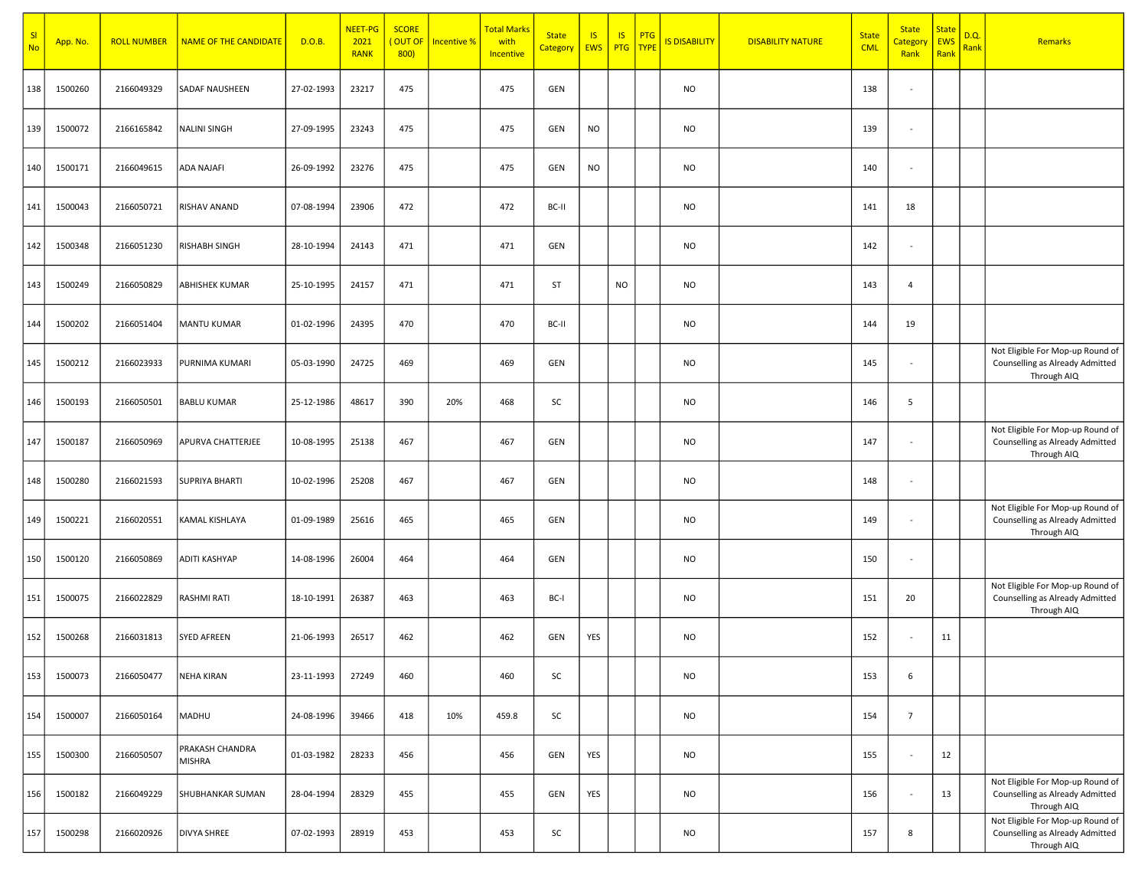| SI<br><b>No</b> | App. No. | <b>ROLL NUMBER</b> | <b>NAME OF THE CANDIDATE</b>     | D.O.B.     | NEET-PG<br>2021<br><b>RANK</b> | <b>SCORE</b><br>(OUT OF<br>800) | <b>Incentive %</b> | <mark>Total Marks</mark><br>with<br>Incentive | <b>State</b><br><b>Category</b> | IS<br><b>EWS</b> | IS.<br>PTG   TYPE | <b>PTG</b> | <b>IS DISABILITY</b> | <b>DISABILITY NATURE</b> | <b>State</b><br><b>CML</b> | <b>State</b><br>Categor<br>Rank | <b>State</b><br>EWS<br>Rank | D.Q.<br>Rank | <b>Remarks</b>                                                                     |
|-----------------|----------|--------------------|----------------------------------|------------|--------------------------------|---------------------------------|--------------------|-----------------------------------------------|---------------------------------|------------------|-------------------|------------|----------------------|--------------------------|----------------------------|---------------------------------|-----------------------------|--------------|------------------------------------------------------------------------------------|
| 138             | 1500260  | 2166049329         | <b>SADAF NAUSHEEN</b>            | 27-02-1993 | 23217                          | 475                             |                    | 475                                           | GEN                             |                  |                   |            | <b>NO</b>            |                          | 138                        | $\blacksquare$                  |                             |              |                                                                                    |
| 139             | 1500072  | 2166165842         | NALINI SINGH                     | 27-09-1995 | 23243                          | 475                             |                    | 475                                           | GEN                             | <b>NO</b>        |                   |            | <b>NO</b>            |                          | 139                        | $\blacksquare$                  |                             |              |                                                                                    |
| 140             | 1500171  | 2166049615         | <b>ADA NAJAFI</b>                | 26-09-1992 | 23276                          | 475                             |                    | 475                                           | GEN                             | <b>NO</b>        |                   |            | <b>NO</b>            |                          | 140                        | $\blacksquare$                  |                             |              |                                                                                    |
| 141             | 1500043  | 2166050721         | <b>RISHAV ANAND</b>              | 07-08-1994 | 23906                          | 472                             |                    | 472                                           | BC-II                           |                  |                   |            | <b>NO</b>            |                          | 141                        | 18                              |                             |              |                                                                                    |
| 142             | 1500348  | 2166051230         | RISHABH SINGH                    | 28-10-1994 | 24143                          | 471                             |                    | 471                                           | GEN                             |                  |                   |            | <b>NO</b>            |                          | 142                        | $\blacksquare$                  |                             |              |                                                                                    |
| 143             | 1500249  | 2166050829         | <b>ABHISHEK KUMAR</b>            | 25-10-1995 | 24157                          | 471                             |                    | 471                                           | ST                              |                  | <b>NO</b>         |            | <b>NO</b>            |                          | 143                        | $\overline{4}$                  |                             |              |                                                                                    |
| 144             | 1500202  | 2166051404         | <b>MANTU KUMAR</b>               | 01-02-1996 | 24395                          | 470                             |                    | 470                                           | BC-II                           |                  |                   |            | <b>NO</b>            |                          | 144                        | 19                              |                             |              |                                                                                    |
| 145             | 1500212  | 2166023933         | PURNIMA KUMARI                   | 05-03-1990 | 24725                          | 469                             |                    | 469                                           | GEN                             |                  |                   |            | <b>NO</b>            |                          | 145                        | $\blacksquare$                  |                             |              | Not Eligible For Mop-up Round of<br>Counselling as Already Admitted<br>Through AIQ |
| 146             | 1500193  | 2166050501         | <b>BABLU KUMAR</b>               | 25-12-1986 | 48617                          | 390                             | 20%                | 468                                           | SC                              |                  |                   |            | <b>NO</b>            |                          | 146                        | 5                               |                             |              |                                                                                    |
| 147             | 1500187  | 2166050969         | <b>APURVA CHATTERJEE</b>         | 10-08-1995 | 25138                          | 467                             |                    | 467                                           | GEN                             |                  |                   |            | <b>NO</b>            |                          | 147                        | $\overline{\phantom{a}}$        |                             |              | Not Eligible For Mop-up Round of<br>Counselling as Already Admitted<br>Through AIQ |
| 148             | 1500280  | 2166021593         | <b>SUPRIYA BHARTI</b>            | 10-02-1996 | 25208                          | 467                             |                    | 467                                           | GEN                             |                  |                   |            | <b>NO</b>            |                          | 148                        | $\blacksquare$                  |                             |              |                                                                                    |
| 149             | 1500221  | 2166020551         | KAMAL KISHLAYA                   | 01-09-1989 | 25616                          | 465                             |                    | 465                                           | GEN                             |                  |                   |            | <b>NO</b>            |                          | 149                        | $\blacksquare$                  |                             |              | Not Eligible For Mop-up Round of<br>Counselling as Already Admitted<br>Through AIQ |
| 150             | 1500120  | 2166050869         | ADITI KASHYAP                    | 14-08-1996 | 26004                          | 464                             |                    | 464                                           | GEN                             |                  |                   |            | <b>NO</b>            |                          | 150                        | $\overline{\phantom{a}}$        |                             |              |                                                                                    |
| 151             | 1500075  | 2166022829         | RASHMI RATI                      | 18-10-1991 | 26387                          | 463                             |                    | 463                                           | BC-I                            |                  |                   |            | <b>NO</b>            |                          | 151                        | 20                              |                             |              | Not Eligible For Mop-up Round of<br>Counselling as Already Admitted<br>Through AIQ |
| 152             | 1500268  | 2166031813         | <b>SYED AFREEN</b>               | 21-06-1993 | 26517                          | 462                             |                    | 462                                           | GEN                             | YES              |                   |            | <b>NO</b>            |                          | 152                        | $\sim$                          | 11                          |              |                                                                                    |
| 153             | 1500073  | 2166050477         | NEHA KIRAN                       | 23-11-1993 | 27249                          | 460                             |                    | 460                                           | SC                              |                  |                   |            | <b>NO</b>            |                          | 153                        | 6                               |                             |              |                                                                                    |
| 154             | 1500007  | 2166050164         | MADHU                            | 24-08-1996 | 39466                          | 418                             | 10%                | 459.8                                         | SC                              |                  |                   |            | <b>NO</b>            |                          | 154                        | $\overline{7}$                  |                             |              |                                                                                    |
| 155             | 1500300  | 2166050507         | PRAKASH CHANDRA<br><b>MISHRA</b> | 01-03-1982 | 28233                          | 456                             |                    | 456                                           | GEN                             | YES              |                   |            | <b>NO</b>            |                          | 155                        | $\blacksquare$                  | 12                          |              |                                                                                    |
| 156             | 1500182  | 2166049229         | SHUBHANKAR SUMAN                 | 28-04-1994 | 28329                          | 455                             |                    | 455                                           | GEN                             | YES              |                   |            | <b>NO</b>            |                          | 156                        | $\omega$                        | 13                          |              | Not Eligible For Mop-up Round of<br>Counselling as Already Admitted<br>Through AIQ |
| 157             | 1500298  | 2166020926         | <b>DIVYA SHREE</b>               | 07-02-1993 | 28919                          | 453                             |                    | 453                                           | SC                              |                  |                   |            | <b>NO</b>            |                          | 157                        | 8                               |                             |              | Not Eligible For Mop-up Round of<br>Counselling as Already Admitted<br>Through AIQ |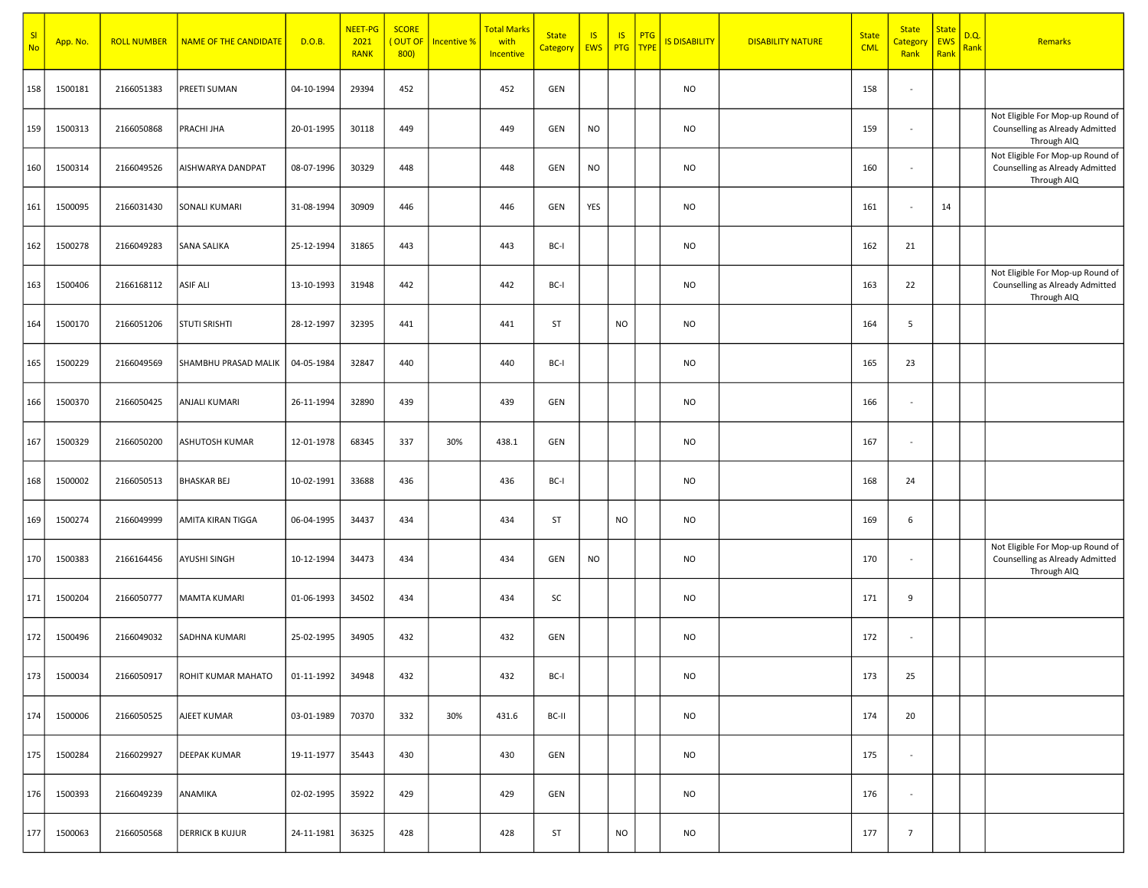| SI<br><b>No</b> | App. No. | <b>ROLL NUMBER</b> | <b>NAME OF THE CANDIDATE</b> | D.O.B.     | NEET-PG<br>2021<br><b>RANK</b> | <b>SCORE</b><br>(OUT OF<br>800) | <b>Incentive %</b> | <mark>Total Marks</mark><br>with<br>Incentive | <b>State</b><br><b>Category</b> | IS<br><b>EWS</b> | IS.       | <b>PTG</b><br>PTG   TYPE | <b>IS DISABILITY</b> | <b>DISABILITY NATURE</b> | <b>State</b><br><b>CML</b> | <b>State</b><br>Categor<br>Rank | <b>State</b><br>EWS<br>Rank | D.Q.<br>Rank | <b>Remarks</b>                                                                     |
|-----------------|----------|--------------------|------------------------------|------------|--------------------------------|---------------------------------|--------------------|-----------------------------------------------|---------------------------------|------------------|-----------|--------------------------|----------------------|--------------------------|----------------------------|---------------------------------|-----------------------------|--------------|------------------------------------------------------------------------------------|
| 158             | 1500181  | 2166051383         | PREETI SUMAN                 | 04-10-1994 | 29394                          | 452                             |                    | 452                                           | GEN                             |                  |           |                          | <b>NO</b>            |                          | 158                        | $\overline{\phantom{a}}$        |                             |              |                                                                                    |
| 159             | 1500313  | 2166050868         | <b>PRACHI JHA</b>            | 20-01-1995 | 30118                          | 449                             |                    | 449                                           | GEN                             | <b>NO</b>        |           |                          | <b>NO</b>            |                          | 159                        | $\overline{\phantom{a}}$        |                             |              | Not Eligible For Mop-up Round of<br>Counselling as Already Admitted<br>Through AIQ |
| 160             | 1500314  | 2166049526         | AISHWARYA DANDPAT            | 08-07-1996 | 30329                          | 448                             |                    | 448                                           | GEN                             | <b>NO</b>        |           |                          | <b>NO</b>            |                          | 160                        | $\blacksquare$                  |                             |              | Not Eligible For Mop-up Round of<br>Counselling as Already Admitted<br>Through AIQ |
| 161             | 1500095  | 2166031430         | <b>SONALI KUMARI</b>         | 31-08-1994 | 30909                          | 446                             |                    | 446                                           | GEN                             | YES              |           |                          | <b>NO</b>            |                          | 161                        | $\blacksquare$                  | 14                          |              |                                                                                    |
| 162             | 1500278  | 2166049283         | SANA SALIKA                  | 25-12-1994 | 31865                          | 443                             |                    | 443                                           | BC-I                            |                  |           |                          | <b>NO</b>            |                          | 162                        | 21                              |                             |              |                                                                                    |
| 163             | 1500406  | 2166168112         | <b>ASIF ALI</b>              | 13-10-1993 | 31948                          | 442                             |                    | 442                                           | BC-I                            |                  |           |                          | <b>NO</b>            |                          | 163                        | 22                              |                             |              | Not Eligible For Mop-up Round of<br>Counselling as Already Admitted<br>Through AIQ |
| 164             | 1500170  | 2166051206         | <b>STUTI SRISHTI</b>         | 28-12-1997 | 32395                          | 441                             |                    | 441                                           | ST                              |                  | <b>NO</b> |                          | <b>NO</b>            |                          | 164                        | 5                               |                             |              |                                                                                    |
| 165             | 1500229  | 2166049569         | SHAMBHU PRASAD MALIK         | 04-05-1984 | 32847                          | 440                             |                    | 440                                           | BC-I                            |                  |           |                          | <b>NO</b>            |                          | 165                        | 23                              |                             |              |                                                                                    |
| 166             | 1500370  | 2166050425         | ANJALI KUMARI                | 26-11-1994 | 32890                          | 439                             |                    | 439                                           | GEN                             |                  |           |                          | <b>NO</b>            |                          | 166                        | $\blacksquare$                  |                             |              |                                                                                    |
| 167             | 1500329  | 2166050200         | ASHUTOSH KUMAR               | 12-01-1978 | 68345                          | 337                             | 30%                | 438.1                                         | GEN                             |                  |           |                          | <b>NO</b>            |                          | 167                        | $\blacksquare$                  |                             |              |                                                                                    |
| 168             | 1500002  | 2166050513         | <b>BHASKAR BEJ</b>           | 10-02-1991 | 33688                          | 436                             |                    | 436                                           | BC-I                            |                  |           |                          | <b>NO</b>            |                          | 168                        | 24                              |                             |              |                                                                                    |
| 169             | 1500274  | 2166049999         | AMITA KIRAN TIGGA            | 06-04-1995 | 34437                          | 434                             |                    | 434                                           | ST                              |                  | <b>NO</b> |                          | <b>NO</b>            |                          | 169                        | 6                               |                             |              |                                                                                    |
| 170             | 1500383  | 2166164456         | AYUSHI SINGH                 | 10-12-1994 | 34473                          | 434                             |                    | 434                                           | GEN                             | <b>NO</b>        |           |                          | <b>NO</b>            |                          | 170                        | $\overline{\phantom{a}}$        |                             |              | Not Eligible For Mop-up Round of<br>Counselling as Already Admitted<br>Through AIQ |
| 171             | 1500204  | 2166050777         | MAMTA KUMARI                 | 01-06-1993 | 34502                          | 434                             |                    | 434                                           | SC                              |                  |           |                          | <b>NO</b>            |                          | 171                        | 9                               |                             |              |                                                                                    |
| 172             | 1500496  | 2166049032         | <b>SADHNA KUMARI</b>         | 25-02-1995 | 34905                          | 432                             |                    | 432                                           | GEN                             |                  |           |                          | <b>NO</b>            |                          | 172                        | $\blacksquare$                  |                             |              |                                                                                    |
| 173             | 1500034  | 2166050917         | ROHIT KUMAR MAHATO           | 01-11-1992 | 34948                          | 432                             |                    | 432                                           | BC-I                            |                  |           |                          | NO                   |                          | 173                        | 25                              |                             |              |                                                                                    |
| 174             | 1500006  | 2166050525         | AJEET KUMAR                  | 03-01-1989 | 70370                          | 332                             | 30%                | 431.6                                         | BC-II                           |                  |           |                          | <b>NO</b>            |                          | 174                        | 20                              |                             |              |                                                                                    |
| 175             | 1500284  | 2166029927         | <b>DEEPAK KUMAR</b>          | 19-11-1977 | 35443                          | 430                             |                    | 430                                           | GEN                             |                  |           |                          | <b>NO</b>            |                          | 175                        | $\sim$                          |                             |              |                                                                                    |
| 176             | 1500393  | 2166049239         | ANAMIKA                      | 02-02-1995 | 35922                          | 429                             |                    | 429                                           | GEN                             |                  |           |                          | <b>NO</b>            |                          | 176                        | $\sim$                          |                             |              |                                                                                    |
| 177             | 1500063  | 2166050568         | <b>DERRICK B KUJUR</b>       | 24-11-1981 | 36325                          | 428                             |                    | 428                                           | ST                              |                  | <b>NO</b> |                          | <b>NO</b>            |                          | 177                        | $7\overline{ }$                 |                             |              |                                                                                    |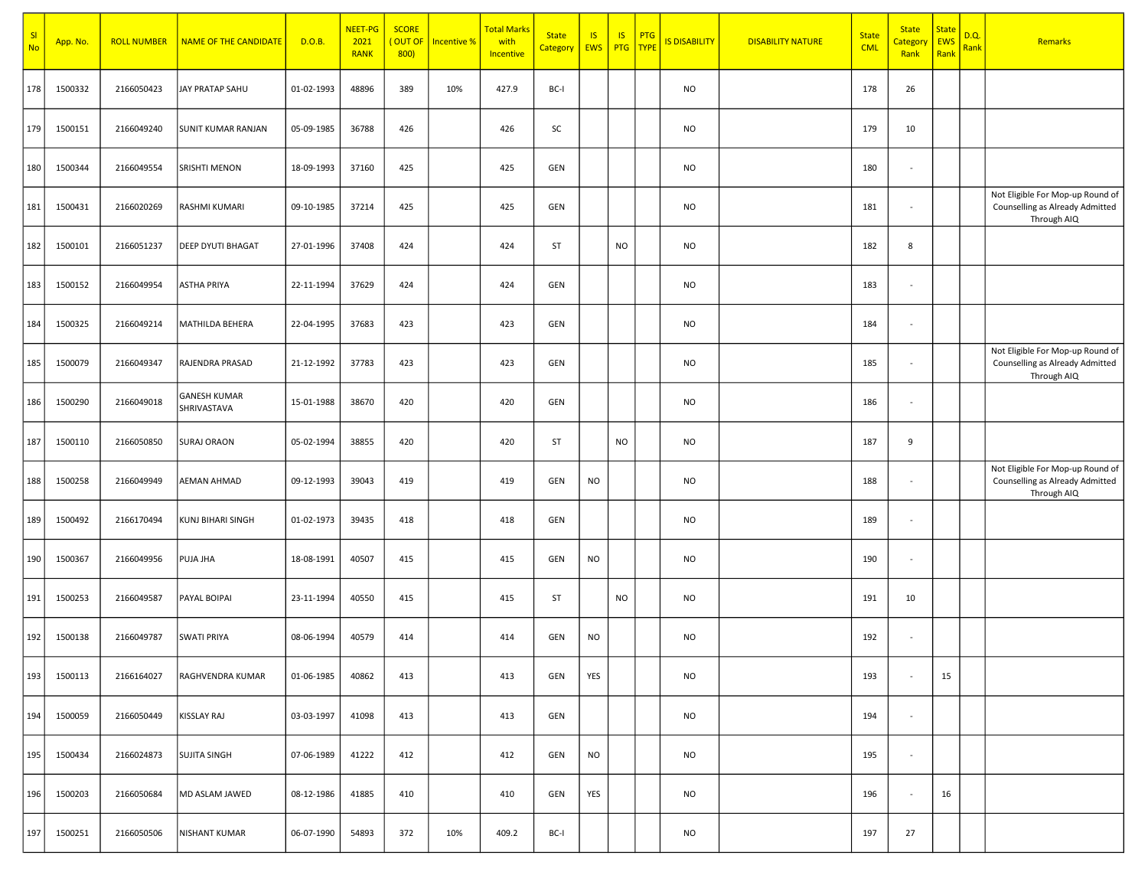| SI<br><b>No</b> | App. No. | <b>ROLL NUMBER</b> | <b>NAME OF THE CANDIDATE</b>       | D.O.B.     | NEET-PG<br>2021<br><b>RANK</b> | <b>SCORE</b><br>(OUT OF<br>800 | <b>Incentive %</b> | <b>Total Marks</b><br>with<br>Incentive | <b>State</b><br><b>Category</b> | IS<br>EWS | IS.       | <b>PTG</b><br>PTG TYPE | IS DISABILITY | <b>DISABILITY NATURE</b> | <b>State</b><br><b>CML</b> | <b>State</b><br>Categor<br>Rank | <b>State</b><br>EWS<br>Rank | D.Q.<br>Rank | <b>Remarks</b>                                                                     |
|-----------------|----------|--------------------|------------------------------------|------------|--------------------------------|--------------------------------|--------------------|-----------------------------------------|---------------------------------|-----------|-----------|------------------------|---------------|--------------------------|----------------------------|---------------------------------|-----------------------------|--------------|------------------------------------------------------------------------------------|
| 178             | 1500332  | 2166050423         | JAY PRATAP SAHU                    | 01-02-1993 | 48896                          | 389                            | 10%                | 427.9                                   | BC-I                            |           |           |                        | NO            |                          | 178                        | 26                              |                             |              |                                                                                    |
| 179             | 1500151  | 2166049240         | <b>SUNIT KUMAR RANJAN</b>          | 05-09-1985 | 36788                          | 426                            |                    | 426                                     | SC                              |           |           |                        | <b>NO</b>     |                          | 179                        | 10                              |                             |              |                                                                                    |
| 180             | 1500344  | 2166049554         | <b>SRISHTI MENON</b>               | 18-09-1993 | 37160                          | 425                            |                    | 425                                     | GEN                             |           |           |                        | <b>NO</b>     |                          | 180                        | $\overline{\phantom{a}}$        |                             |              |                                                                                    |
| 181             | 1500431  | 2166020269         | RASHMI KUMARI                      | 09-10-1985 | 37214                          | 425                            |                    | 425                                     | GEN                             |           |           |                        | <b>NO</b>     |                          | 181                        | $\blacksquare$                  |                             |              | Not Eligible For Mop-up Round of<br>Counselling as Already Admitted<br>Through AIQ |
| 182             | 1500101  | 2166051237         | <b>DEEP DYUTI BHAGAT</b>           | 27-01-1996 | 37408                          | 424                            |                    | 424                                     | ST                              |           | <b>NO</b> |                        | <b>NO</b>     |                          | 182                        | 8                               |                             |              |                                                                                    |
| 183             | 1500152  | 2166049954         | <b>ASTHA PRIYA</b>                 | 22-11-1994 | 37629                          | 424                            |                    | 424                                     | GEN                             |           |           |                        | <b>NO</b>     |                          | 183                        | $\blacksquare$                  |                             |              |                                                                                    |
| 184             | 1500325  | 2166049214         | MATHILDA BEHERA                    | 22-04-1995 | 37683                          | 423                            |                    | 423                                     | GEN                             |           |           |                        | <b>NO</b>     |                          | 184                        | $\blacksquare$                  |                             |              |                                                                                    |
| 185             | 1500079  | 2166049347         | RAJENDRA PRASAD                    | 21-12-1992 | 37783                          | 423                            |                    | 423                                     | GEN                             |           |           |                        | <b>NO</b>     |                          | 185                        | $\blacksquare$                  |                             |              | Not Eligible For Mop-up Round of<br>Counselling as Already Admitted<br>Through AIQ |
| 186             | 1500290  | 2166049018         | <b>GANESH KUMAR</b><br>SHRIVASTAVA | 15-01-1988 | 38670                          | 420                            |                    | 420                                     | GEN                             |           |           |                        | <b>NO</b>     |                          | 186                        | $\overline{\phantom{a}}$        |                             |              |                                                                                    |
| 187             | 1500110  | 2166050850         | <b>SURAJ ORAON</b>                 | 05-02-1994 | 38855                          | 420                            |                    | 420                                     | ST                              |           | <b>NO</b> |                        | <b>NO</b>     |                          | 187                        | 9                               |                             |              |                                                                                    |
| 188             | 1500258  | 2166049949         | <b>AEMAN AHMAD</b>                 | 09-12-1993 | 39043                          | 419                            |                    | 419                                     | GEN                             | <b>NO</b> |           |                        | <b>NO</b>     |                          | 188                        | $\blacksquare$                  |                             |              | Not Eligible For Mop-up Round of<br>Counselling as Already Admitted<br>Through AIQ |
| 189             | 1500492  | 2166170494         | KUNJ BIHARI SINGH                  | 01-02-1973 | 39435                          | 418                            |                    | 418                                     | GEN                             |           |           |                        | <b>NO</b>     |                          | 189                        | $\blacksquare$                  |                             |              |                                                                                    |
| 190             | 1500367  | 2166049956         | PUJA JHA                           | 18-08-1991 | 40507                          | 415                            |                    | 415                                     | GEN                             | NO        |           |                        | <b>NO</b>     |                          | 190                        | $\overline{\phantom{a}}$        |                             |              |                                                                                    |
| 191             | 1500253  | 2166049587         | <b>PAYAL BOIPAI</b>                | 23-11-1994 | 40550                          | 415                            |                    | 415                                     | ST                              |           | <b>NO</b> |                        | <b>NO</b>     |                          | 191                        | 10                              |                             |              |                                                                                    |
| 192             | 1500138  | 2166049787         | <b>SWATI PRIYA</b>                 | 08-06-1994 | 40579                          | 414                            |                    | 414                                     | GEN                             | <b>NO</b> |           |                        | <b>NO</b>     |                          | 192                        | $\blacksquare$                  |                             |              |                                                                                    |
| 193             | 1500113  | 2166164027         | RAGHVENDRA KUMAR                   | 01-06-1985 | 40862                          | 413                            |                    | 413                                     | GEN                             | YES       |           |                        | NO            |                          | 193                        | $\overline{\phantom{a}}$        | 15                          |              |                                                                                    |
| 194             | 1500059  | 2166050449         | KISSLAY RAJ                        | 03-03-1997 | 41098                          | 413                            |                    | 413                                     | GEN                             |           |           |                        | <b>NO</b>     |                          | 194                        | $\sim$                          |                             |              |                                                                                    |
| 195             | 1500434  | 2166024873         | <b>SUJITA SINGH</b>                | 07-06-1989 | 41222                          | 412                            |                    | 412                                     | GEN                             | <b>NO</b> |           |                        | <b>NO</b>     |                          | 195                        | $\sim$                          |                             |              |                                                                                    |
| 196             | 1500203  | 2166050684         | MD ASLAM JAWED                     | 08-12-1986 | 41885                          | 410                            |                    | 410                                     | GEN                             | YES       |           |                        | <b>NO</b>     |                          | 196                        | $\sim$                          | 16                          |              |                                                                                    |
| 197             | 1500251  | 2166050506         | <b>NISHANT KUMAR</b>               | 06-07-1990 | 54893                          | 372                            | 10%                | 409.2                                   | BC-I                            |           |           |                        | <b>NO</b>     |                          | 197                        | 27                              |                             |              |                                                                                    |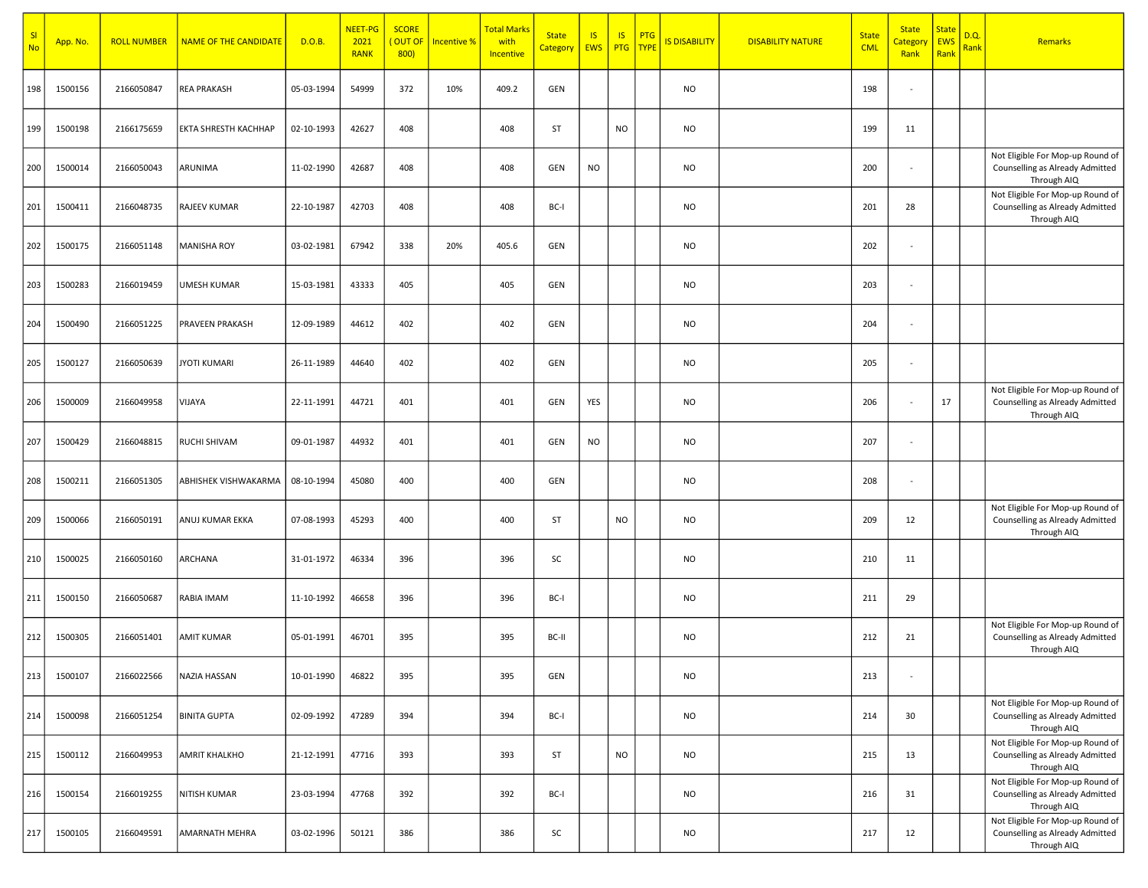| SI<br><b>No</b> | App. No. | <b>ROLL NUMBER</b> | <b>NAME OF THE CANDIDATE</b> | D.O.B.     | NEET-PG<br>2021<br><b>RANK</b> | <b>SCORE</b><br>OUT OF<br>800) | Incentive % | <mark>Total Marks</mark><br>with<br>Incentive | <b>State</b><br>Category EWS | $\overline{15}$ | IS<br>PTG   TYPE | PTG | <b>IS DISABILITY</b> | <b>DISABILITY NATURE</b> | <b>State</b><br><b>CML</b> | <b>State</b><br><mark>Categor</mark><br>Rank | <b>State</b><br>EWS<br>Rank | D.Q.<br>Rank | Remarks                                                                            |
|-----------------|----------|--------------------|------------------------------|------------|--------------------------------|--------------------------------|-------------|-----------------------------------------------|------------------------------|-----------------|------------------|-----|----------------------|--------------------------|----------------------------|----------------------------------------------|-----------------------------|--------------|------------------------------------------------------------------------------------|
| 198             | 1500156  | 2166050847         | <b>REA PRAKASH</b>           | 05-03-1994 | 54999                          | 372                            | 10%         | 409.2                                         | GEN                          |                 |                  |     | <b>NO</b>            |                          | 198                        | $\overline{\phantom{a}}$                     |                             |              |                                                                                    |
| 199             | 1500198  | 2166175659         | <b>EKTA SHRESTH KACHHAP</b>  | 02-10-1993 | 42627                          | 408                            |             | 408                                           | ST                           |                 | <b>NO</b>        |     | <b>NO</b>            |                          | 199                        | 11                                           |                             |              |                                                                                    |
| 200             | 1500014  | 2166050043         | ARUNIMA                      | 11-02-1990 | 42687                          | 408                            |             | 408                                           | GEN                          | <b>NO</b>       |                  |     | <b>NO</b>            |                          | 200                        | $\overline{\phantom{a}}$                     |                             |              | Not Eligible For Mop-up Round of<br>Counselling as Already Admitted<br>Through AIQ |
| 201             | 1500411  | 2166048735         | RAJEEV KUMAR                 | 22-10-1987 | 42703                          | 408                            |             | 408                                           | BC-I                         |                 |                  |     | <b>NO</b>            |                          | 201                        | 28                                           |                             |              | Not Eligible For Mop-up Round of<br>Counselling as Already Admitted<br>Through AIQ |
| 202             | 1500175  | 2166051148         | <b>MANISHA ROY</b>           | 03-02-1981 | 67942                          | 338                            | 20%         | 405.6                                         | GEN                          |                 |                  |     | <b>NO</b>            |                          | 202                        | $\overline{\phantom{a}}$                     |                             |              |                                                                                    |
| 203             | 1500283  | 2166019459         | UMESH KUMAR                  | 15-03-1981 | 43333                          | 405                            |             | 405                                           | GEN                          |                 |                  |     | <b>NO</b>            |                          | 203                        | $\overline{\phantom{a}}$                     |                             |              |                                                                                    |
| 204             | 1500490  | 2166051225         | PRAVEEN PRAKASH              | 12-09-1989 | 44612                          | 402                            |             | 402                                           | GEN                          |                 |                  |     | <b>NO</b>            |                          | 204                        | $\overline{\phantom{a}}$                     |                             |              |                                                                                    |
| 205             | 1500127  | 2166050639         | <b>JYOTI KUMARI</b>          | 26-11-1989 | 44640                          | 402                            |             | 402                                           | GEN                          |                 |                  |     | <b>NO</b>            |                          | 205                        | $\overline{\phantom{a}}$                     |                             |              |                                                                                    |
| 206             | 1500009  | 2166049958         | VIJAYA                       | 22-11-1991 | 44721                          | 401                            |             | 401                                           | GEN                          | YES             |                  |     | <b>NO</b>            |                          | 206                        | $\overline{\phantom{a}}$                     | 17                          |              | Not Eligible For Mop-up Round of<br>Counselling as Already Admitted<br>Through AIQ |
| 207             | 1500429  | 2166048815         | RUCHI SHIVAM                 | 09-01-1987 | 44932                          | 401                            |             | 401                                           | GEN                          | <b>NO</b>       |                  |     | <b>NO</b>            |                          | 207                        | $\overline{\phantom{a}}$                     |                             |              |                                                                                    |
| 208             | 1500211  | 2166051305         | ABHISHEK VISHWAKARMA         | 08-10-1994 | 45080                          | 400                            |             | 400                                           | GEN                          |                 |                  |     | <b>NO</b>            |                          | 208                        | $\overline{\phantom{a}}$                     |                             |              |                                                                                    |
| 209             | 1500066  | 2166050191         | ANUJ KUMAR EKKA              | 07-08-1993 | 45293                          | 400                            |             | 400                                           | ST                           |                 | <b>NO</b>        |     | <b>NO</b>            |                          | 209                        | 12                                           |                             |              | Not Eligible For Mop-up Round of<br>Counselling as Already Admitted<br>Through AIQ |
| 210             | 1500025  | 2166050160         | ARCHANA                      | 31-01-1972 | 46334                          | 396                            |             | 396                                           | SC                           |                 |                  |     | <b>NO</b>            |                          | 210                        | 11                                           |                             |              |                                                                                    |
| 211             | 1500150  | 2166050687         | RABIA IMAM                   | 11-10-1992 | 46658                          | 396                            |             | 396                                           | BC-I                         |                 |                  |     | <b>NO</b>            |                          | 211                        | 29                                           |                             |              |                                                                                    |
| 212             | 1500305  | 2166051401         | <b>AMIT KUMAR</b>            | 05-01-1991 | 46701                          | 395                            |             | 395                                           | BC-II                        |                 |                  |     | <b>NO</b>            |                          | 212                        | 21                                           |                             |              | Not Eligible For Mop-up Round of<br>Counselling as Already Admitted<br>Through AIQ |
| 213             | 1500107  | 2166022566         | NAZIA HASSAN                 | 10-01-1990 | 46822                          | 395                            |             | 395                                           | GEN                          |                 |                  |     | <b>NO</b>            |                          | 213                        | $\overline{\phantom{a}}$                     |                             |              |                                                                                    |
| 214             | 1500098  | 2166051254         | <b>BINITA GUPTA</b>          | 02-09-1992 | 47289                          | 394                            |             | 394                                           | BC-I                         |                 |                  |     | <b>NO</b>            |                          | 214                        | 30                                           |                             |              | Not Eligible For Mop-up Round of<br>Counselling as Already Admitted<br>Through AIQ |
| 215             | 1500112  | 2166049953         | <b>AMRIT KHALKHO</b>         | 21-12-1991 | 47716                          | 393                            |             | 393                                           | ST                           |                 | <b>NO</b>        |     | <b>NO</b>            |                          | 215                        | 13                                           |                             |              | Not Eligible For Mop-up Round of<br>Counselling as Already Admitted<br>Through AIQ |
| 216             | 1500154  | 2166019255         | NITISH KUMAR                 | 23-03-1994 | 47768                          | 392                            |             | 392                                           | BC-I                         |                 |                  |     | <b>NO</b>            |                          | 216                        | 31                                           |                             |              | Not Eligible For Mop-up Round of<br>Counselling as Already Admitted<br>Through AIQ |
| 217             | 1500105  | 2166049591         | <b>AMARNATH MEHRA</b>        | 03-02-1996 | 50121                          | 386                            |             | 386                                           | SC                           |                 |                  |     | <b>NO</b>            |                          | 217                        | 12                                           |                             |              | Not Eligible For Mop-up Round of<br>Counselling as Already Admitted<br>Through AIQ |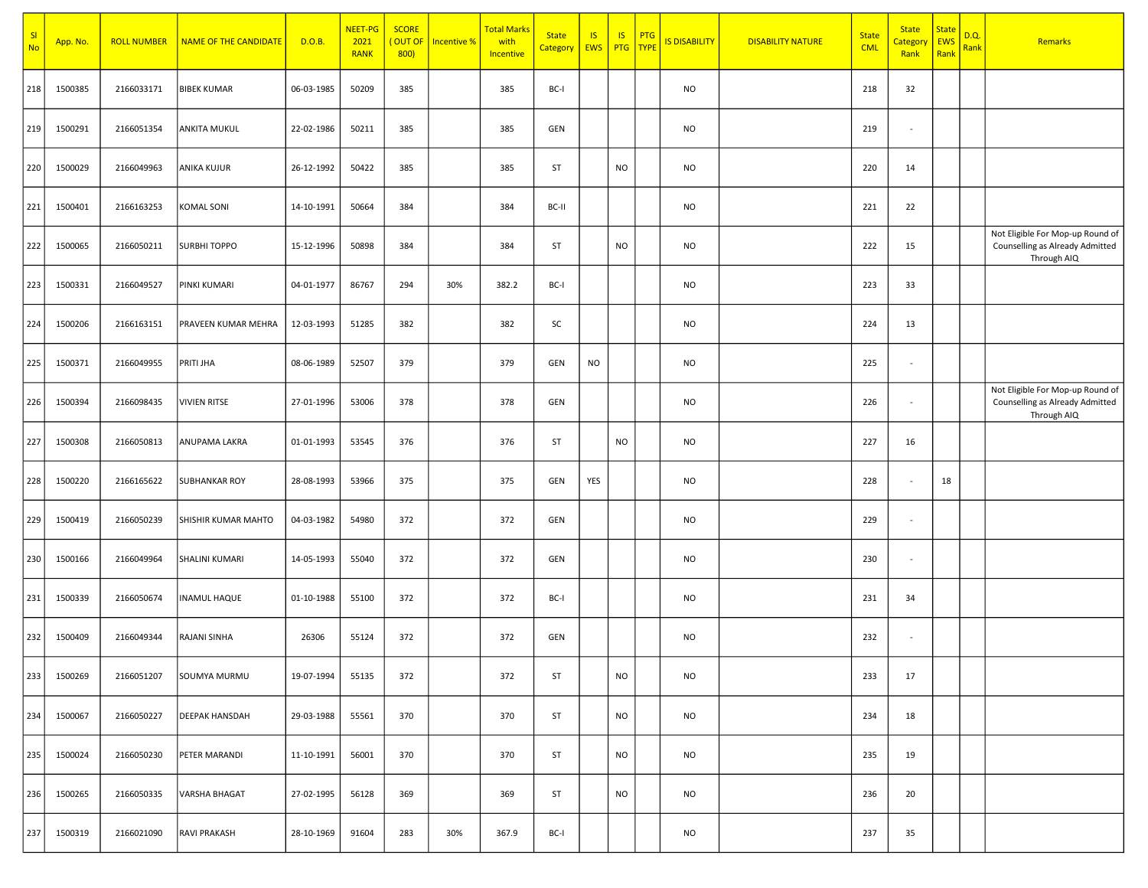| SI<br><b>No</b> | App. No. | <b>ROLL NUMBER</b> | <b>NAME OF THE CANDIDATE</b> | D.O.B.     | <b>NEET-PG</b><br>2021<br><b>RANK</b> | <b>SCORE</b><br>OUT OF<br>800) | <b>Incentive %</b> | <b>Total Marks</b><br>with<br>Incentive | <b>State</b><br>Category | <b>IS</b><br>EWS | IS<br>PTG | PTG<br>TYPE | <b>IS DISABILITY</b> | <b>DISABILITY NATURE</b> | <b>State</b><br><b>CML</b> | <b>State</b><br><mark>Category</mark><br>Rank | <b>State</b><br>EWS<br>Rank | D.Q.<br>Rank | Remarks                                                                            |
|-----------------|----------|--------------------|------------------------------|------------|---------------------------------------|--------------------------------|--------------------|-----------------------------------------|--------------------------|------------------|-----------|-------------|----------------------|--------------------------|----------------------------|-----------------------------------------------|-----------------------------|--------------|------------------------------------------------------------------------------------|
| 218             | 1500385  | 2166033171         | <b>BIBEK KUMAR</b>           | 06-03-1985 | 50209                                 | 385                            |                    | 385                                     | BC-I                     |                  |           |             | NO                   |                          | 218                        | 32                                            |                             |              |                                                                                    |
| 219             | 1500291  | 2166051354         | <b>ANKITA MUKUL</b>          | 22-02-1986 | 50211                                 | 385                            |                    | 385                                     | GEN                      |                  |           |             | <b>NO</b>            |                          | 219                        | $\sim$                                        |                             |              |                                                                                    |
| 220             | 1500029  | 2166049963         | <b>ANIKA KUJUR</b>           | 26-12-1992 | 50422                                 | 385                            |                    | 385                                     | ST                       |                  | <b>NO</b> |             | <b>NO</b>            |                          | 220                        | 14                                            |                             |              |                                                                                    |
| 221             | 1500401  | 2166163253         | <b>KOMAL SONI</b>            | 14-10-1991 | 50664                                 | 384                            |                    | 384                                     | BC-II                    |                  |           |             | NO                   |                          | 221                        | 22                                            |                             |              |                                                                                    |
| 222             | 1500065  | 2166050211         | <b>SURBHI TOPPO</b>          | 15-12-1996 | 50898                                 | 384                            |                    | 384                                     | ST                       |                  | <b>NO</b> |             | NO                   |                          | 222                        | 15                                            |                             |              | Not Eligible For Mop-up Round of<br>Counselling as Already Admitted<br>Through AIQ |
| 223             | 1500331  | 2166049527         | PINKI KUMARI                 | 04-01-1977 | 86767                                 | 294                            | 30%                | 382.2                                   | BC-I                     |                  |           |             | NO                   |                          | 223                        | 33                                            |                             |              |                                                                                    |
| 224             | 1500206  | 2166163151         | PRAVEEN KUMAR MEHRA          | 12-03-1993 | 51285                                 | 382                            |                    | 382                                     | SC                       |                  |           |             | <b>NO</b>            |                          | 224                        | 13                                            |                             |              |                                                                                    |
| 225             | 1500371  | 2166049955         | PRITI JHA                    | 08-06-1989 | 52507                                 | 379                            |                    | 379                                     | GEN                      | NO               |           |             | <b>NO</b>            |                          | 225                        | $\sim$                                        |                             |              |                                                                                    |
| 226             | 1500394  | 2166098435         | <b>VIVIEN RITSE</b>          | 27-01-1996 | 53006                                 | 378                            |                    | 378                                     | GEN                      |                  |           |             | NO                   |                          | 226                        | $\sim$                                        |                             |              | Not Eligible For Mop-up Round of<br>Counselling as Already Admitted<br>Through AIQ |
| 227             | 1500308  | 2166050813         | ANUPAMA LAKRA                | 01-01-1993 | 53545                                 | 376                            |                    | 376                                     | ST                       |                  | <b>NO</b> |             | <b>NO</b>            |                          | 227                        | 16                                            |                             |              |                                                                                    |
| 228             | 1500220  | 2166165622         | <b>SUBHANKAR ROY</b>         | 28-08-1993 | 53966                                 | 375                            |                    | 375                                     | GEN                      | YES              |           |             | NO                   |                          | 228                        | $\sim$                                        | 18                          |              |                                                                                    |
| 229             | 1500419  | 2166050239         | <b>SHISHIR KUMAR MAHTO</b>   | 04-03-1982 | 54980                                 | 372                            |                    | 372                                     | GEN                      |                  |           |             | NO                   |                          | 229                        | $\sim$                                        |                             |              |                                                                                    |
| 230             | 1500166  | 2166049964         | SHALINI KUMARI               | 14-05-1993 | 55040                                 | 372                            |                    | 372                                     | GEN                      |                  |           |             | NO                   |                          | 230                        | $\sim$                                        |                             |              |                                                                                    |
| 231             | 1500339  | 2166050674         | <b>INAMUL HAQUE</b>          | 01-10-1988 | 55100                                 | 372                            |                    | 372                                     | BC-I                     |                  |           |             | NO                   |                          | 231                        | 34                                            |                             |              |                                                                                    |
| 232             | 1500409  | 2166049344         | RAJANI SINHA                 | 26306      | 55124                                 | 372                            |                    | 372                                     | GEN                      |                  |           |             | <b>NO</b>            |                          | 232                        | $\sim$                                        |                             |              |                                                                                    |
| 233             | 1500269  | 2166051207         | SOUMYA MURMU                 | 19-07-1994 | 55135                                 | 372                            |                    | 372                                     | ST                       |                  | <b>NO</b> |             | NO                   |                          | 233                        | 17                                            |                             |              |                                                                                    |
| 234             | 1500067  | 2166050227         | <b>DEEPAK HANSDAH</b>        | 29-03-1988 | 55561                                 | 370                            |                    | 370                                     | ST                       |                  | <b>NO</b> |             | <b>NO</b>            |                          | 234                        | 18                                            |                             |              |                                                                                    |
| 235             | 1500024  | 2166050230         | PETER MARANDI                | 11-10-1991 | 56001                                 | 370                            |                    | 370                                     | ST                       |                  | <b>NO</b> |             | <b>NO</b>            |                          | 235                        | 19                                            |                             |              |                                                                                    |
| 236             | 1500265  | 2166050335         | VARSHA BHAGAT                | 27-02-1995 | 56128                                 | 369                            |                    | 369                                     | ST                       |                  | <b>NO</b> |             | NO                   |                          | 236                        | 20                                            |                             |              |                                                                                    |
| 237             | 1500319  | 2166021090         | RAVI PRAKASH                 | 28-10-1969 | 91604                                 | 283                            | 30%                | 367.9                                   | BC-I                     |                  |           |             | NO                   |                          | 237                        | 35                                            |                             |              |                                                                                    |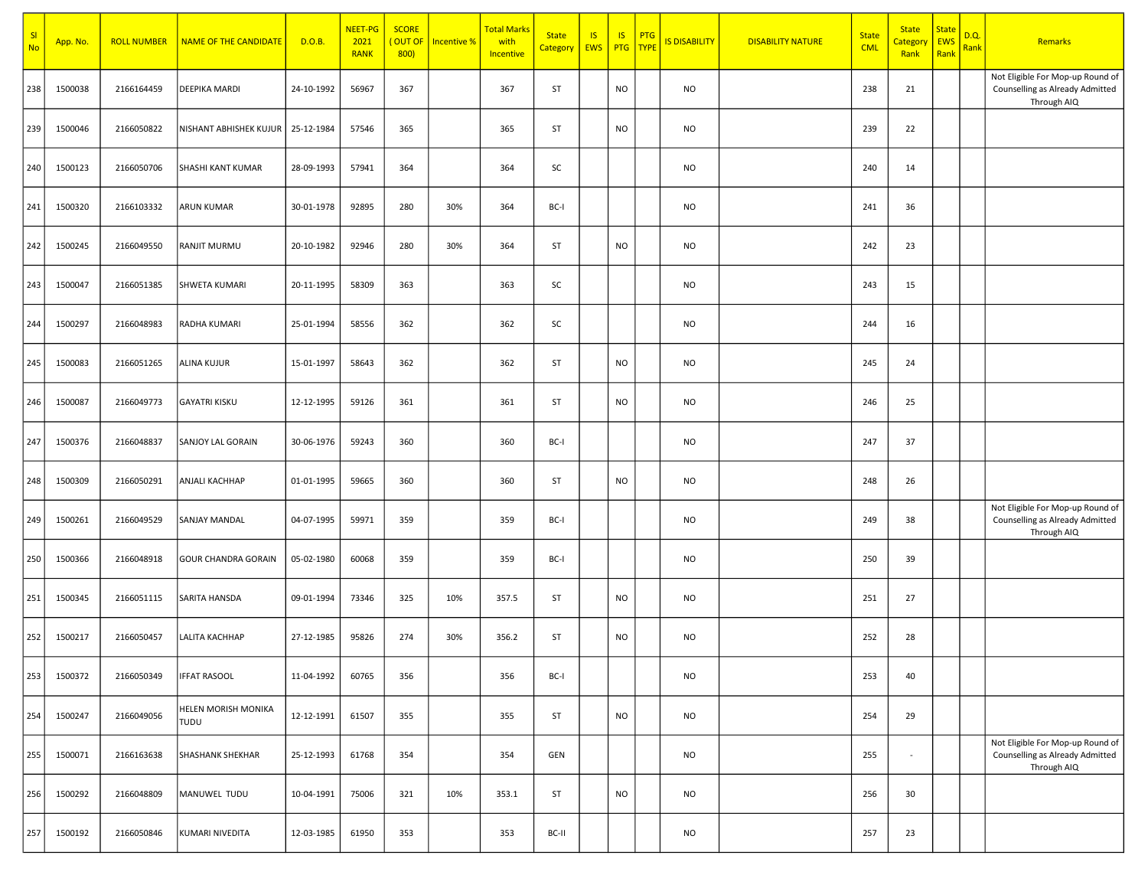| SI<br><b>No</b> | App. No. | <b>ROLL NUMBER</b> | NAME OF THE CANDIDATE       | D.O.B.     | <b>NEET-PG</b><br>2021<br><b>RANK</b> | <b>SCORE</b><br>(OUT OF<br>800 | Incentive % | <b>Total Marks</b><br>with<br>Incentive | <b>State</b><br>Category EWS | <b>IS</b> | IS<br><b>PTG</b> | <b>PTG</b><br>TYPE | <b>IS DISABILITY</b> | <b>DISABILITY NATURE</b> | <b>State</b><br><b>CML</b> | <b>State</b><br><mark>Categor</mark><br>Rank | <b>State</b><br>EWS<br>Rank | D.Q.<br>Rank | Remarks                                                                            |
|-----------------|----------|--------------------|-----------------------------|------------|---------------------------------------|--------------------------------|-------------|-----------------------------------------|------------------------------|-----------|------------------|--------------------|----------------------|--------------------------|----------------------------|----------------------------------------------|-----------------------------|--------------|------------------------------------------------------------------------------------|
| 238             | 1500038  | 2166164459         | DEEPIKA MARDI               | 24-10-1992 | 56967                                 | 367                            |             | 367                                     | ST                           |           | <b>NO</b>        |                    | <b>NO</b>            |                          | 238                        | 21                                           |                             |              | Not Eligible For Mop-up Round of<br>Counselling as Already Admitted<br>Through AIQ |
| 239             | 1500046  | 2166050822         | NISHANT ABHISHEK KUJUR      | 25-12-1984 | 57546                                 | 365                            |             | 365                                     | ST                           |           | <b>NO</b>        |                    | <b>NO</b>            |                          | 239                        | 22                                           |                             |              |                                                                                    |
| 240             | 1500123  | 2166050706         | SHASHI KANT KUMAR           | 28-09-1993 | 57941                                 | 364                            |             | 364                                     | SC                           |           |                  |                    | <b>NO</b>            |                          | 240                        | 14                                           |                             |              |                                                                                    |
| 241             | 1500320  | 2166103332         | <b>ARUN KUMAR</b>           | 30-01-1978 | 92895                                 | 280                            | 30%         | 364                                     | BC-I                         |           |                  |                    | NO                   |                          | 241                        | 36                                           |                             |              |                                                                                    |
| 242             | 1500245  | 2166049550         | RANJIT MURMU                | 20-10-1982 | 92946                                 | 280                            | 30%         | 364                                     | ST                           |           | <b>NO</b>        |                    | <b>NO</b>            |                          | 242                        | 23                                           |                             |              |                                                                                    |
| 243             | 1500047  | 2166051385         | <b>SHWETA KUMARI</b>        | 20-11-1995 | 58309                                 | 363                            |             | 363                                     | SC                           |           |                  |                    | NO                   |                          | 243                        | 15                                           |                             |              |                                                                                    |
| 244             | 1500297  | 2166048983         | RADHA KUMARI                | 25-01-1994 | 58556                                 | 362                            |             | 362                                     | SC                           |           |                  |                    | <b>NO</b>            |                          | 244                        | 16                                           |                             |              |                                                                                    |
| 245             | 1500083  | 2166051265         | <b>ALINA KUJUR</b>          | 15-01-1997 | 58643                                 | 362                            |             | 362                                     | ST                           |           | <b>NO</b>        |                    | <b>NO</b>            |                          | 245                        | 24                                           |                             |              |                                                                                    |
| 246             | 1500087  | 2166049773         | <b>GAYATRI KISKU</b>        | 12-12-1995 | 59126                                 | 361                            |             | 361                                     | ST                           |           | <b>NO</b>        |                    | <b>NO</b>            |                          | 246                        | 25                                           |                             |              |                                                                                    |
| 247             | 1500376  | 2166048837         | <b>SANJOY LAL GORAIN</b>    | 30-06-1976 | 59243                                 | 360                            |             | 360                                     | BC-I                         |           |                  |                    | <b>NO</b>            |                          | 247                        | 37                                           |                             |              |                                                                                    |
| 248             | 1500309  | 2166050291         | ANJALI KACHHAP              | 01-01-1995 | 59665                                 | 360                            |             | 360                                     | ST                           |           | <b>NO</b>        |                    | <b>NO</b>            |                          | 248                        | 26                                           |                             |              |                                                                                    |
| 249             | 1500261  | 2166049529         | SANJAY MANDAL               | 04-07-1995 | 59971                                 | 359                            |             | 359                                     | BC-I                         |           |                  |                    | <b>NO</b>            |                          | 249                        | 38                                           |                             |              | Not Eligible For Mop-up Round of<br>Counselling as Already Admitted<br>Through AIQ |
| 250             | 1500366  | 2166048918         | <b>GOUR CHANDRA GORAIN</b>  | 05-02-1980 | 60068                                 | 359                            |             | 359                                     | BC-I                         |           |                  |                    | <b>NO</b>            |                          | 250                        | 39                                           |                             |              |                                                                                    |
| 251             | 1500345  | 2166051115         | SARITA HANSDA               | 09-01-1994 | 73346                                 | 325                            | 10%         | 357.5                                   | ST                           |           | <b>NO</b>        |                    | <b>NO</b>            |                          | 251                        | 27                                           |                             |              |                                                                                    |
| 252             | 1500217  | 2166050457         | LALITA KACHHAP              | 27-12-1985 | 95826                                 | 274                            | 30%         | 356.2                                   | ST                           |           | <b>NO</b>        |                    | <b>NO</b>            |                          | 252                        | 28                                           |                             |              |                                                                                    |
| 253             | 1500372  | 2166050349         | IFFAT RASOOL                | 11-04-1992 | 60765                                 | 356                            |             | 356                                     | BC-I                         |           |                  |                    | NO                   |                          | 253                        | 40                                           |                             |              |                                                                                    |
| 254             | 1500247  | 2166049056         | HELEN MORISH MONIKA<br>TUDU | 12-12-1991 | 61507                                 | 355                            |             | 355                                     | ST                           |           | <b>NO</b>        |                    | <b>NO</b>            |                          | 254                        | 29                                           |                             |              |                                                                                    |
| 255             | 1500071  | 2166163638         | <b>SHASHANK SHEKHAR</b>     | 25-12-1993 | 61768                                 | 354                            |             | 354                                     | GEN                          |           |                  |                    | <b>NO</b>            |                          | 255                        | $\sim$                                       |                             |              | Not Eligible For Mop-up Round of<br>Counselling as Already Admitted<br>Through AIQ |
| 256             | 1500292  | 2166048809         | MANUWEL TUDU                | 10-04-1991 | 75006                                 | 321                            | 10%         | 353.1                                   | ST                           |           | <b>NO</b>        |                    | NO                   |                          | 256                        | 30                                           |                             |              |                                                                                    |
| 257             | 1500192  | 2166050846         | KUMARI NIVEDITA             | 12-03-1985 | 61950                                 | 353                            |             | 353                                     | BC-II                        |           |                  |                    | <b>NO</b>            |                          | 257                        | 23                                           |                             |              |                                                                                    |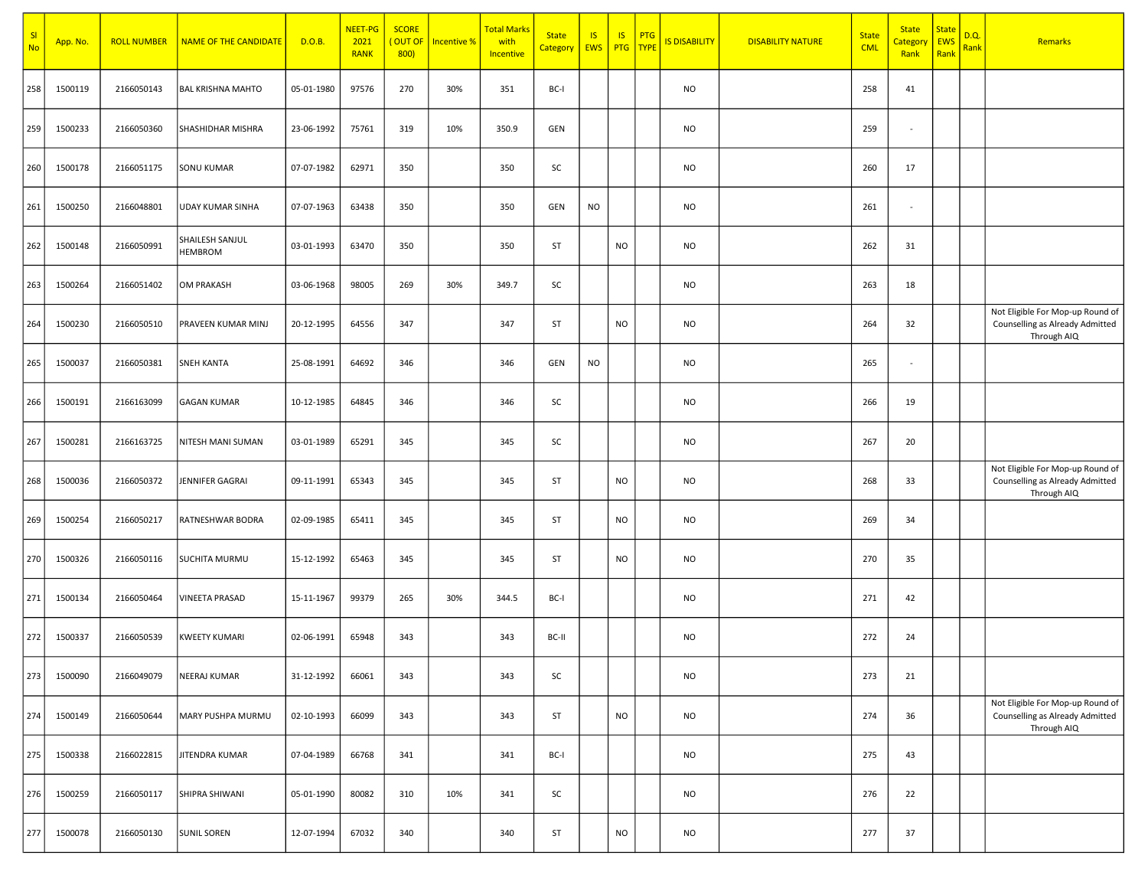| SI<br><b>No</b> | App. No. | <b>ROLL NUMBER</b> | <b>NAME OF THE CANDIDATE</b> | D.O.B.     | <b>NEET-PG</b><br>2021<br><b>RANK</b> | <b>SCORE</b><br>(OUT OF<br>800) | <b>Incentive %</b> | <b>Total Marks</b><br>with<br>Incentive | <b>State</b><br><b>Category</b> | IS<br><b>EWS</b> | IS.       | <b>PTG</b><br>PTG TYPE | <b>IS DISABILITY</b> | <b>DISABILITY NATURE</b> | <b>State</b><br><b>CML</b> | <b>State</b><br>Categor<br>Rank | <b>State</b><br>EWS<br>Rank | D.Q.<br>Rank | <b>Remarks</b>                                                                     |
|-----------------|----------|--------------------|------------------------------|------------|---------------------------------------|---------------------------------|--------------------|-----------------------------------------|---------------------------------|------------------|-----------|------------------------|----------------------|--------------------------|----------------------------|---------------------------------|-----------------------------|--------------|------------------------------------------------------------------------------------|
| 258             | 1500119  | 2166050143         | <b>BAL KRISHNA MAHTO</b>     | 05-01-1980 | 97576                                 | 270                             | 30%                | 351                                     | BC-I                            |                  |           |                        | NO                   |                          | 258                        | 41                              |                             |              |                                                                                    |
| 259             | 1500233  | 2166050360         | SHASHIDHAR MISHRA            | 23-06-1992 | 75761                                 | 319                             | 10%                | 350.9                                   | GEN                             |                  |           |                        | <b>NO</b>            |                          | 259                        | $\blacksquare$                  |                             |              |                                                                                    |
| 260             | 1500178  | 2166051175         | SONU KUMAR                   | 07-07-1982 | 62971                                 | 350                             |                    | 350                                     | SC                              |                  |           |                        | <b>NO</b>            |                          | 260                        | 17                              |                             |              |                                                                                    |
| 261             | 1500250  | 2166048801         | UDAY KUMAR SINHA             | 07-07-1963 | 63438                                 | 350                             |                    | 350                                     | GEN                             | <b>NO</b>        |           |                        | <b>NO</b>            |                          | 261                        | $\blacksquare$                  |                             |              |                                                                                    |
| 262             | 1500148  | 2166050991         | SHAILESH SANJUL<br>HEMBROM   | 03-01-1993 | 63470                                 | 350                             |                    | 350                                     | ST                              |                  | <b>NO</b> |                        | <b>NO</b>            |                          | 262                        | 31                              |                             |              |                                                                                    |
| 263             | 1500264  | 2166051402         | OM PRAKASH                   | 03-06-1968 | 98005                                 | 269                             | 30%                | 349.7                                   | SC                              |                  |           |                        | <b>NO</b>            |                          | 263                        | 18                              |                             |              |                                                                                    |
| 264             | 1500230  | 2166050510         | PRAVEEN KUMAR MINJ           | 20-12-1995 | 64556                                 | 347                             |                    | 347                                     | ST                              |                  | <b>NO</b> |                        | <b>NO</b>            |                          | 264                        | 32                              |                             |              | Not Eligible For Mop-up Round of<br>Counselling as Already Admitted<br>Through AIQ |
| 265             | 1500037  | 2166050381         | <b>SNEH KANTA</b>            | 25-08-1991 | 64692                                 | 346                             |                    | 346                                     | GEN                             | <b>NO</b>        |           |                        | <b>NO</b>            |                          | 265                        | $\blacksquare$                  |                             |              |                                                                                    |
| 266             | 1500191  | 2166163099         | <b>GAGAN KUMAR</b>           | 10-12-1985 | 64845                                 | 346                             |                    | 346                                     | SC                              |                  |           |                        | <b>NO</b>            |                          | 266                        | 19                              |                             |              |                                                                                    |
| 267             | 1500281  | 2166163725         | NITESH MANI SUMAN            | 03-01-1989 | 65291                                 | 345                             |                    | 345                                     | SC                              |                  |           |                        | <b>NO</b>            |                          | 267                        | 20                              |                             |              |                                                                                    |
| 268             | 1500036  | 2166050372         | JENNIFER GAGRAI              | 09-11-1991 | 65343                                 | 345                             |                    | 345                                     | ST                              |                  | <b>NO</b> |                        | <b>NO</b>            |                          | 268                        | 33                              |                             |              | Not Eligible For Mop-up Round of<br>Counselling as Already Admitted<br>Through AIQ |
| 269             | 1500254  | 2166050217         | <b>RATNESHWAR BODRA</b>      | 02-09-1985 | 65411                                 | 345                             |                    | 345                                     | ST                              |                  | <b>NO</b> |                        | <b>NO</b>            |                          | 269                        | 34                              |                             |              |                                                                                    |
| 270             | 1500326  | 2166050116         | <b>SUCHITA MURMU</b>         | 15-12-1992 | 65463                                 | 345                             |                    | 345                                     | ST                              |                  | <b>NO</b> |                        | <b>NO</b>            |                          | 270                        | 35                              |                             |              |                                                                                    |
| 271             | 1500134  | 2166050464         | <b>VINEETA PRASAD</b>        | 15-11-1967 | 99379                                 | 265                             | 30%                | 344.5                                   | BC-I                            |                  |           |                        | <b>NO</b>            |                          | 271                        | 42                              |                             |              |                                                                                    |
| 272             | 1500337  | 2166050539         | <b>KWEETY KUMARI</b>         | 02-06-1991 | 65948                                 | 343                             |                    | 343                                     | BC-II                           |                  |           |                        | <b>NO</b>            |                          | 272                        | 24                              |                             |              |                                                                                    |
| 273             | 1500090  | 2166049079         | NEERAJ KUMAR                 | 31-12-1992 | 66061                                 | 343                             |                    | 343                                     | SC                              |                  |           |                        | <b>NO</b>            |                          | 273                        | 21                              |                             |              |                                                                                    |
| 274             | 1500149  | 2166050644         | MARY PUSHPA MURMU            | 02-10-1993 | 66099                                 | 343                             |                    | 343                                     | ST                              |                  | <b>NO</b> |                        | <b>NO</b>            |                          | 274                        | 36                              |                             |              | Not Eligible For Mop-up Round of<br>Counselling as Already Admitted<br>Through AIQ |
| 275             | 1500338  | 2166022815         | JITENDRA KUMAR               | 07-04-1989 | 66768                                 | 341                             |                    | 341                                     | BC-I                            |                  |           |                        | <b>NO</b>            |                          | 275                        | 43                              |                             |              |                                                                                    |
| 276             | 1500259  | 2166050117         | SHIPRA SHIWANI               | 05-01-1990 | 80082                                 | 310                             | 10%                | 341                                     | SC                              |                  |           |                        | <b>NO</b>            |                          | 276                        | 22                              |                             |              |                                                                                    |
| 277             | 1500078  | 2166050130         | <b>SUNIL SOREN</b>           | 12-07-1994 | 67032                                 | 340                             |                    | 340                                     | ST                              |                  | <b>NO</b> |                        | <b>NO</b>            |                          | 277                        | 37                              |                             |              |                                                                                    |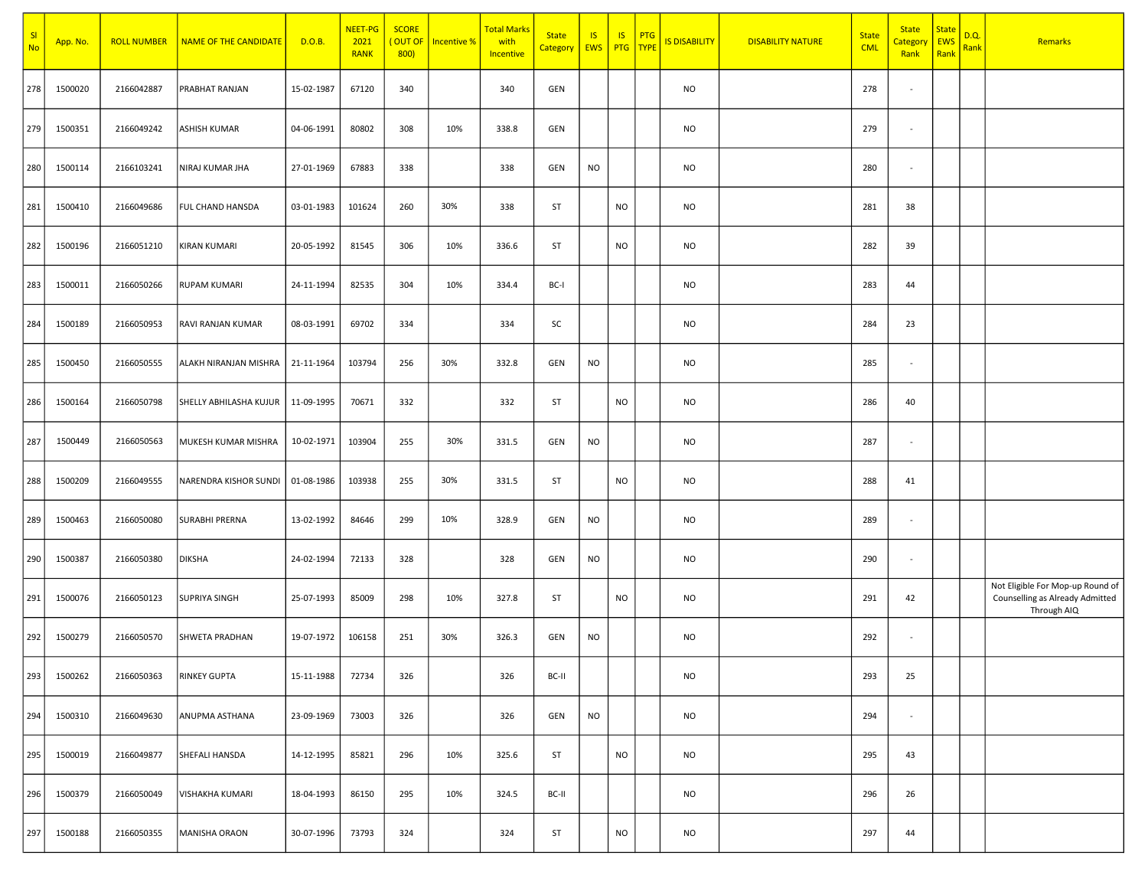| SI<br><b>No</b> | App. No. | <b>ROLL NUMBER</b> | NAME OF THE CANDIDATE   | D.O.B.     | <b>NEET-PG</b><br>2021<br><b>RANK</b> | <b>SCORE</b><br>(OUT OF<br>800 | Incentive % | <b>Total Marks</b><br>with<br>Incentive | <b>State</b><br>Category EWS | <b>IS</b> | IS<br><b>PTG</b> | <b>PTG</b><br>TYPE | <b>IS DISABILITY</b> | <b>DISABILITY NATURE</b> | <b>State</b><br><b>CML</b> | <b>State</b><br><u>Category</u><br>Rank | <b>State</b><br>EWS<br>Rank | D.Q.<br>Rank | Remarks                                                                            |
|-----------------|----------|--------------------|-------------------------|------------|---------------------------------------|--------------------------------|-------------|-----------------------------------------|------------------------------|-----------|------------------|--------------------|----------------------|--------------------------|----------------------------|-----------------------------------------|-----------------------------|--------------|------------------------------------------------------------------------------------|
| 278             | 1500020  | 2166042887         | PRABHAT RANJAN          | 15-02-1987 | 67120                                 | 340                            |             | 340                                     | GEN                          |           |                  |                    | <b>NO</b>            |                          | 278                        | $\sim$                                  |                             |              |                                                                                    |
| 279             | 1500351  | 2166049242         | <b>ASHISH KUMAR</b>     | 04-06-1991 | 80802                                 | 308                            | 10%         | 338.8                                   | GEN                          |           |                  |                    | <b>NO</b>            |                          | 279                        | $\sim$                                  |                             |              |                                                                                    |
| 280             | 1500114  | 2166103241         | NIRAJ KUMAR JHA         | 27-01-1969 | 67883                                 | 338                            |             | 338                                     | GEN                          | <b>NO</b> |                  |                    | <b>NO</b>            |                          | 280                        | $\sim$                                  |                             |              |                                                                                    |
| 281             | 1500410  | 2166049686         | <b>FUL CHAND HANSDA</b> | 03-01-1983 | 101624                                | 260                            | 30%         | 338                                     | ST                           |           | <b>NO</b>        |                    | <b>NO</b>            |                          | 281                        | 38                                      |                             |              |                                                                                    |
| 282             | 1500196  | 2166051210         | <b>KIRAN KUMARI</b>     | 20-05-1992 | 81545                                 | 306                            | 10%         | 336.6                                   | ST                           |           | <b>NO</b>        |                    | <b>NO</b>            |                          | 282                        | 39                                      |                             |              |                                                                                    |
| 283             | 1500011  | 2166050266         | <b>RUPAM KUMARI</b>     | 24-11-1994 | 82535                                 | 304                            | 10%         | 334.4                                   | BC-I                         |           |                  |                    | <b>NO</b>            |                          | 283                        | 44                                      |                             |              |                                                                                    |
| 284             | 1500189  | 2166050953         | RAVI RANJAN KUMAR       | 08-03-1991 | 69702                                 | 334                            |             | 334                                     | SC                           |           |                  |                    | NO                   |                          | 284                        | 23                                      |                             |              |                                                                                    |
| 285             | 1500450  | 2166050555         | ALAKH NIRANJAN MISHRA   | 21-11-1964 | 103794                                | 256                            | 30%         | 332.8                                   | GEN                          | <b>NO</b> |                  |                    | <b>NO</b>            |                          | 285                        | $\sim$                                  |                             |              |                                                                                    |
| 286             | 1500164  | 2166050798         | SHELLY ABHILASHA KUJUR  | 11-09-1995 | 70671                                 | 332                            |             | 332                                     | ST                           |           | <b>NO</b>        |                    | NO                   |                          | 286                        | 40                                      |                             |              |                                                                                    |
| 287             | 1500449  | 2166050563         | MUKESH KUMAR MISHRA     | 10-02-1971 | 103904                                | 255                            | 30%         | 331.5                                   | GEN                          | <b>NO</b> |                  |                    | <b>NO</b>            |                          | 287                        | $\sim$                                  |                             |              |                                                                                    |
| 288             | 1500209  | 2166049555         | NARENDRA KISHOR SUNDI   | 01-08-1986 | 103938                                | 255                            | 30%         | 331.5                                   | ST                           |           | <b>NO</b>        |                    | <b>NO</b>            |                          | 288                        | 41                                      |                             |              |                                                                                    |
| 289             | 1500463  | 2166050080         | <b>SURABHI PRERNA</b>   | 13-02-1992 | 84646                                 | 299                            | 10%         | 328.9                                   | GEN                          | <b>NO</b> |                  |                    | <b>NO</b>            |                          | 289                        | $\sim$                                  |                             |              |                                                                                    |
| 290             | 1500387  | 2166050380         | <b>DIKSHA</b>           | 24-02-1994 | 72133                                 | 328                            |             | 328                                     | GEN                          | <b>NO</b> |                  |                    | <b>NO</b>            |                          | 290                        | $\sim$                                  |                             |              |                                                                                    |
| 291             | 1500076  | 2166050123         | <b>SUPRIYA SINGH</b>    | 25-07-1993 | 85009                                 | 298                            | 10%         | 327.8                                   | ST                           |           | <b>NO</b>        |                    | NO                   |                          | 291                        | 42                                      |                             |              | Not Eligible For Mop-up Round of<br>Counselling as Already Admitted<br>Through AIQ |
| 292             | 1500279  | 2166050570         | SHWETA PRADHAN          | 19-07-1972 | 106158                                | 251                            | 30%         | 326.3                                   | GEN                          | <b>NO</b> |                  |                    | <b>NO</b>            |                          | 292                        | $\sim$                                  |                             |              |                                                                                    |
| 293             | 1500262  | 2166050363         | <b>RINKEY GUPTA</b>     | 15-11-1988 | 72734                                 | 326                            |             | 326                                     | BC-II                        |           |                  |                    | <b>NO</b>            |                          | 293                        | 25                                      |                             |              |                                                                                    |
| 294             | 1500310  | 2166049630         | ANUPMA ASTHANA          | 23-09-1969 | 73003                                 | 326                            |             | 326                                     | GEN                          | <b>NO</b> |                  |                    | <b>NO</b>            |                          | 294                        | $\sim$                                  |                             |              |                                                                                    |
| 295             | 1500019  | 2166049877         | SHEFALI HANSDA          | 14-12-1995 | 85821                                 | 296                            | 10%         | 325.6                                   | ST                           |           | <b>NO</b>        |                    | <b>NO</b>            |                          | 295                        | 43                                      |                             |              |                                                                                    |
| 296             | 1500379  | 2166050049         | VISHAKHA KUMARI         | 18-04-1993 | 86150                                 | 295                            | 10%         | 324.5                                   | BC-II                        |           |                  |                    | <b>NO</b>            |                          | 296                        | 26                                      |                             |              |                                                                                    |
| 297             | 1500188  | 2166050355         | MANISHA ORAON           | 30-07-1996 | 73793                                 | 324                            |             | 324                                     | ST                           |           | <b>NO</b>        |                    | <b>NO</b>            |                          | 297                        | 44                                      |                             |              |                                                                                    |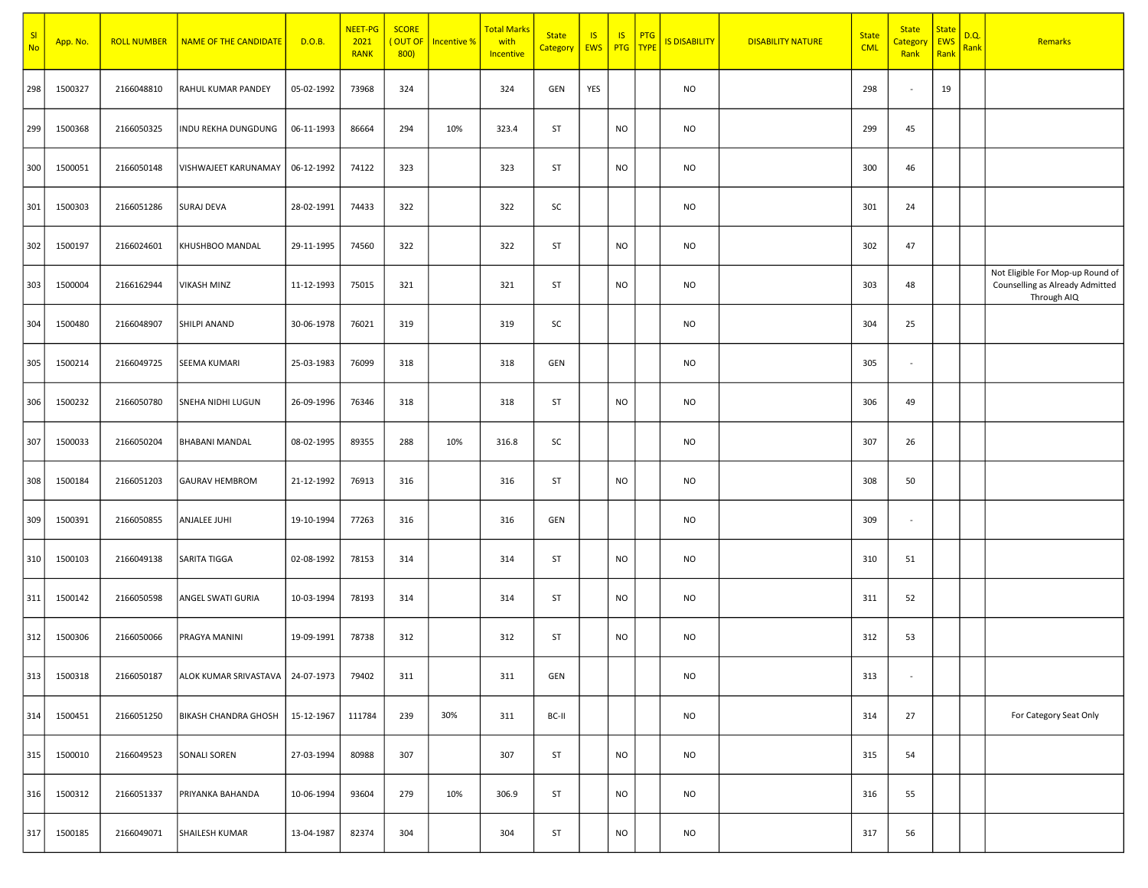| SI<br><b>No</b> | App. No. | <b>ROLL NUMBER</b> | NAME OF THE CANDIDATE              | D.O.B.     | <b>NEET-PG</b><br>2021<br><b>RANK</b> | <b>SCORE</b><br>(OUT OF<br>800 | <b>Incentive %</b> | <b>Total Marks</b><br>with<br>Incentive | <b>State</b><br>Category EWS | <b>IS</b> | IS<br><b>PTG</b> | <b>PTG</b><br>TYPE | <mark>IS DISABILITY</mark> | <b>DISABILITY NATURE</b> | <b>State</b><br><b>CML</b> | <b>State</b><br><u>Category</u><br>Rank | <b>State</b><br>EWS<br>Rank | D.Q.<br>Rank | Remarks                                                                            |
|-----------------|----------|--------------------|------------------------------------|------------|---------------------------------------|--------------------------------|--------------------|-----------------------------------------|------------------------------|-----------|------------------|--------------------|----------------------------|--------------------------|----------------------------|-----------------------------------------|-----------------------------|--------------|------------------------------------------------------------------------------------|
| 298             | 1500327  | 2166048810         | RAHUL KUMAR PANDEY                 | 05-02-1992 | 73968                                 | 324                            |                    | 324                                     | GEN                          | YES       |                  |                    | NO                         |                          | 298                        | $\sim$                                  | 19                          |              |                                                                                    |
| 299             | 1500368  | 2166050325         | INDU REKHA DUNGDUNG                | 06-11-1993 | 86664                                 | 294                            | 10%                | 323.4                                   | ST                           |           | <b>NO</b>        |                    | <b>NO</b>                  |                          | 299                        | 45                                      |                             |              |                                                                                    |
| 300             | 1500051  | 2166050148         | VISHWAJEET KARUNAMAY               | 06-12-1992 | 74122                                 | 323                            |                    | 323                                     | ST                           |           | <b>NO</b>        |                    | NO                         |                          | 300                        | 46                                      |                             |              |                                                                                    |
| 301             | 1500303  | 2166051286         | <b>SURAJ DEVA</b>                  | 28-02-1991 | 74433                                 | 322                            |                    | 322                                     | SC                           |           |                  |                    | <b>NO</b>                  |                          | 301                        | 24                                      |                             |              |                                                                                    |
| 302             | 1500197  | 2166024601         | KHUSHBOO MANDAL                    | 29-11-1995 | 74560                                 | 322                            |                    | 322                                     | ST                           |           | <b>NO</b>        |                    | NO                         |                          | 302                        | 47                                      |                             |              |                                                                                    |
| 303             | 1500004  | 2166162944         | <b>VIKASH MINZ</b>                 | 11-12-1993 | 75015                                 | 321                            |                    | 321                                     | ST                           |           | <b>NO</b>        |                    | <b>NO</b>                  |                          | 303                        | 48                                      |                             |              | Not Eligible For Mop-up Round of<br>Counselling as Already Admitted<br>Through AIQ |
| 304             | 1500480  | 2166048907         | <b>SHILPI ANAND</b>                | 30-06-1978 | 76021                                 | 319                            |                    | 319                                     | SC                           |           |                  |                    | NO                         |                          | 304                        | 25                                      |                             |              |                                                                                    |
| 305             | 1500214  | 2166049725         | <b>SEEMA KUMARI</b>                | 25-03-1983 | 76099                                 | 318                            |                    | 318                                     | GEN                          |           |                  |                    | <b>NO</b>                  |                          | 305                        | $\sim$                                  |                             |              |                                                                                    |
| 306             | 1500232  | 2166050780         | SNEHA NIDHI LUGUN                  | 26-09-1996 | 76346                                 | 318                            |                    | 318                                     | ST                           |           | <b>NO</b>        |                    | NO                         |                          | 306                        | 49                                      |                             |              |                                                                                    |
| 307             | 1500033  | 2166050204         | <b>BHABANI MANDAL</b>              | 08-02-1995 | 89355                                 | 288                            | 10%                | 316.8                                   | SC                           |           |                  |                    | <b>NO</b>                  |                          | 307                        | 26                                      |                             |              |                                                                                    |
| 308             | 1500184  | 2166051203         | <b>GAURAV HEMBROM</b>              | 21-12-1992 | 76913                                 | 316                            |                    | 316                                     | ST                           |           | <b>NO</b>        |                    | <b>NO</b>                  |                          | 308                        | 50                                      |                             |              |                                                                                    |
| 309             | 1500391  | 2166050855         | <b>ANJALEE JUHI</b>                | 19-10-1994 | 77263                                 | 316                            |                    | 316                                     | GEN                          |           |                  |                    | <b>NO</b>                  |                          | 309                        | $\sim$                                  |                             |              |                                                                                    |
| 310             | 1500103  | 2166049138         | SARITA TIGGA                       | 02-08-1992 | 78153                                 | 314                            |                    | 314                                     | ST                           |           | <b>NO</b>        |                    | <b>NO</b>                  |                          | 310                        | 51                                      |                             |              |                                                                                    |
| 311             | 1500142  | 2166050598         | <b>ANGEL SWATI GURIA</b>           | 10-03-1994 | 78193                                 | 314                            |                    | 314                                     | ST                           |           | <b>NO</b>        |                    | <b>NO</b>                  |                          | 311                        | 52                                      |                             |              |                                                                                    |
| 312             | 1500306  | 2166050066         | PRAGYA MANINI                      | 19-09-1991 | 78738                                 | 312                            |                    | 312                                     | ST                           |           | <b>NO</b>        |                    | <b>NO</b>                  |                          | 312                        | 53                                      |                             |              |                                                                                    |
| 313             | 1500318  | 2166050187         | ALOK KUMAR SRIVASTAVA   24-07-1973 |            | 79402                                 | 311                            |                    | 311                                     | GEN                          |           |                  |                    | NO                         |                          | 313                        | $\sim$                                  |                             |              |                                                                                    |
| 314             | 1500451  | 2166051250         | <b>BIKASH CHANDRA GHOSH</b>        | 15-12-1967 | 111784                                | 239                            | 30%                | 311                                     | BC-II                        |           |                  |                    | <b>NO</b>                  |                          | 314                        | 27                                      |                             |              | For Category Seat Only                                                             |
| 315             | 1500010  | 2166049523         | SONALI SOREN                       | 27-03-1994 | 80988                                 | 307                            |                    | 307                                     | ST                           |           | <b>NO</b>        |                    | <b>NO</b>                  |                          | 315                        | 54                                      |                             |              |                                                                                    |
| 316             | 1500312  | 2166051337         | PRIYANKA BAHANDA                   | 10-06-1994 | 93604                                 | 279                            | 10%                | 306.9                                   | ST                           |           | <b>NO</b>        |                    | NO                         |                          | 316                        | 55                                      |                             |              |                                                                                    |
| 317             | 1500185  | 2166049071         | SHAILESH KUMAR                     | 13-04-1987 | 82374                                 | 304                            |                    | 304                                     | ST                           |           | <b>NO</b>        |                    | <b>NO</b>                  |                          | 317                        | 56                                      |                             |              |                                                                                    |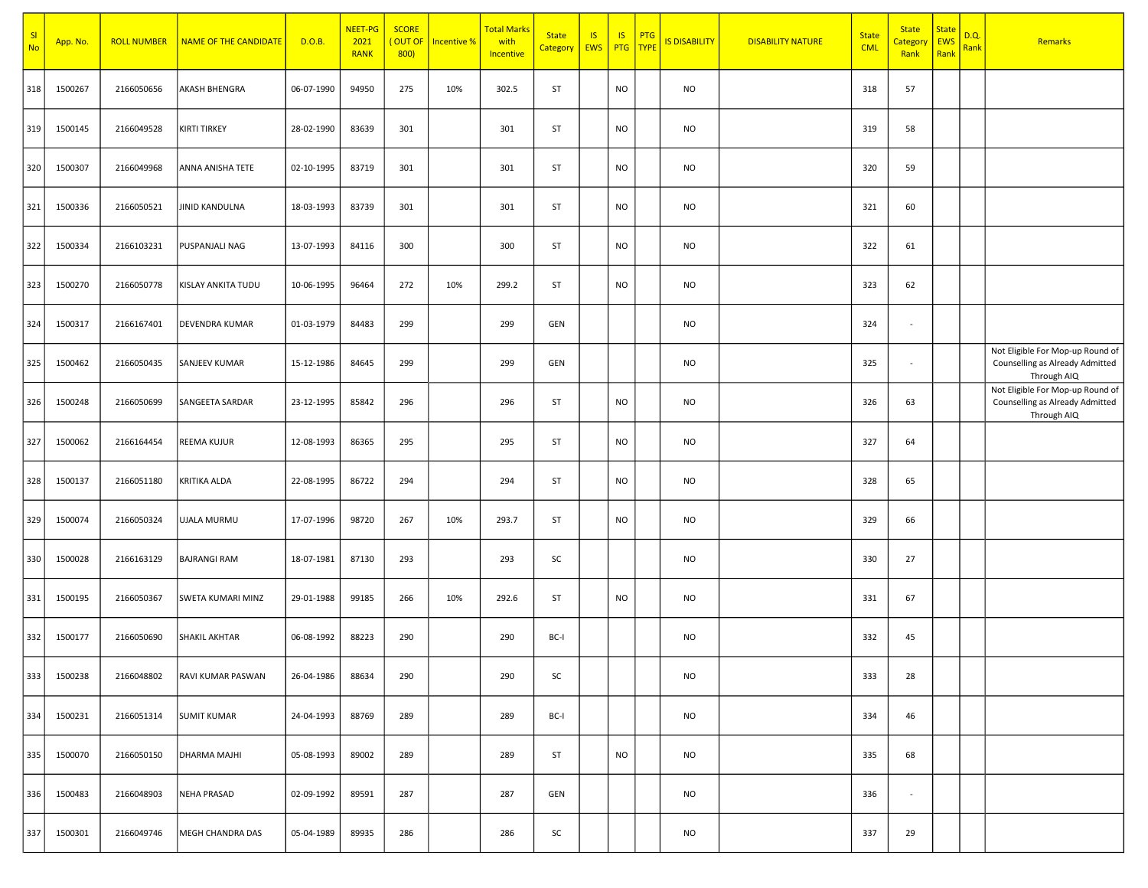| SI<br><b>No</b> | App. No. | <b>ROLL NUMBER</b> | NAME OF THE CANDIDATE    | D.O.B.     | <b>NEET-PG</b><br>2021<br><b>RANK</b> | <b>SCORE</b><br>(OUT OF<br>800 | <b>Incentive %</b> | <b>Total Marks</b><br>with<br>Incentive | <b>State</b><br><b>Category</b> | IS<br>EWS | IS.<br>PTG TYPE | <b>PTG</b> | <b>IS DISABILITY</b> | <b>DISABILITY NATURE</b> | <b>State</b><br><b>CML</b> | <b>State</b><br>Categor<br>Rank | <b>State</b><br>EWS<br>Rank | D.Q.<br>Rank | <b>Remarks</b>                                                                     |
|-----------------|----------|--------------------|--------------------------|------------|---------------------------------------|--------------------------------|--------------------|-----------------------------------------|---------------------------------|-----------|-----------------|------------|----------------------|--------------------------|----------------------------|---------------------------------|-----------------------------|--------------|------------------------------------------------------------------------------------|
| 318             | 1500267  | 2166050656         | AKASH BHENGRA            | 06-07-1990 | 94950                                 | 275                            | 10%                | 302.5                                   | ST                              |           | <b>NO</b>       |            | NO                   |                          | 318                        | 57                              |                             |              |                                                                                    |
| 319             | 1500145  | 2166049528         | KIRTI TIRKEY             | 28-02-1990 | 83639                                 | 301                            |                    | 301                                     | ST                              |           | <b>NO</b>       |            | <b>NO</b>            |                          | 319                        | 58                              |                             |              |                                                                                    |
| 320             | 1500307  | 2166049968         | ANNA ANISHA TETE         | 02-10-1995 | 83719                                 | 301                            |                    | 301                                     | ST                              |           | <b>NO</b>       |            | <b>NO</b>            |                          | 320                        | 59                              |                             |              |                                                                                    |
| 321             | 1500336  | 2166050521         | JINID KANDULNA           | 18-03-1993 | 83739                                 | 301                            |                    | 301                                     | ST                              |           | <b>NO</b>       |            | <b>NO</b>            |                          | 321                        | 60                              |                             |              |                                                                                    |
| 322             | 1500334  | 2166103231         | PUSPANJALI NAG           | 13-07-1993 | 84116                                 | 300                            |                    | 300                                     | ST                              |           | <b>NO</b>       |            | <b>NO</b>            |                          | 322                        | 61                              |                             |              |                                                                                    |
| 323             | 1500270  | 2166050778         | KISLAY ANKITA TUDU       | 10-06-1995 | 96464                                 | 272                            | 10%                | 299.2                                   | ST                              |           | <b>NO</b>       |            | <b>NO</b>            |                          | 323                        | 62                              |                             |              |                                                                                    |
| 324             | 1500317  | 2166167401         | <b>DEVENDRA KUMAR</b>    | 01-03-1979 | 84483                                 | 299                            |                    | 299                                     | GEN                             |           |                 |            | <b>NO</b>            |                          | 324                        | $\blacksquare$                  |                             |              |                                                                                    |
| 325             | 1500462  | 2166050435         | SANJEEV KUMAR            | 15-12-1986 | 84645                                 | 299                            |                    | 299                                     | GEN                             |           |                 |            | <b>NO</b>            |                          | 325                        | $\overline{\phantom{a}}$        |                             |              | Not Eligible For Mop-up Round of<br>Counselling as Already Admitted<br>Through AIQ |
| 326             | 1500248  | 2166050699         | SANGEETA SARDAR          | 23-12-1995 | 85842                                 | 296                            |                    | 296                                     | ST                              |           | <b>NO</b>       |            | NO                   |                          | 326                        | 63                              |                             |              | Not Eligible For Mop-up Round of<br>Counselling as Already Admitted<br>Through AIQ |
| 327             | 1500062  | 2166164454         | <b>REEMA KUJUR</b>       | 12-08-1993 | 86365                                 | 295                            |                    | 295                                     | ST                              |           | <b>NO</b>       |            | <b>NO</b>            |                          | 327                        | 64                              |                             |              |                                                                                    |
| 328             | 1500137  | 2166051180         | <b>KRITIKA ALDA</b>      | 22-08-1995 | 86722                                 | 294                            |                    | 294                                     | ST                              |           | <b>NO</b>       |            | <b>NO</b>            |                          | 328                        | 65                              |                             |              |                                                                                    |
| 329             | 1500074  | 2166050324         | UJALA MURMU              | 17-07-1996 | 98720                                 | 267                            | 10%                | 293.7                                   | ST                              |           | <b>NO</b>       |            | <b>NO</b>            |                          | 329                        | 66                              |                             |              |                                                                                    |
| 330             | 1500028  | 2166163129         | <b>BAJRANGI RAM</b>      | 18-07-1981 | 87130                                 | 293                            |                    | 293                                     | SC                              |           |                 |            | <b>NO</b>            |                          | 330                        | 27                              |                             |              |                                                                                    |
| 331             | 1500195  | 2166050367         | <b>SWETA KUMARI MINZ</b> | 29-01-1988 | 99185                                 | 266                            | 10%                | 292.6                                   | ST                              |           | <b>NO</b>       |            | <b>NO</b>            |                          | 331                        | 67                              |                             |              |                                                                                    |
| 332             | 1500177  | 2166050690         | <b>SHAKIL AKHTAR</b>     | 06-08-1992 | 88223                                 | 290                            |                    | 290                                     | BC-I                            |           |                 |            | <b>NO</b>            |                          | 332                        | 45                              |                             |              |                                                                                    |
| 333             | 1500238  | 2166048802         | RAVI KUMAR PASWAN        | 26-04-1986 | 88634                                 | 290                            |                    | 290                                     | SC                              |           |                 |            | <b>NO</b>            |                          | 333                        | 28                              |                             |              |                                                                                    |
| 334             | 1500231  | 2166051314         | <b>SUMIT KUMAR</b>       | 24-04-1993 | 88769                                 | 289                            |                    | 289                                     | BC-I                            |           |                 |            | <b>NO</b>            |                          | 334                        | 46                              |                             |              |                                                                                    |
| 335             | 1500070  | 2166050150         | DHARMA MAJHI             | 05-08-1993 | 89002                                 | 289                            |                    | 289                                     | ST                              |           | <b>NO</b>       |            | <b>NO</b>            |                          | 335                        | 68                              |                             |              |                                                                                    |
| 336             | 1500483  | 2166048903         | NEHA PRASAD              | 02-09-1992 | 89591                                 | 287                            |                    | 287                                     | GEN                             |           |                 |            | <b>NO</b>            |                          | 336                        | $\sim$                          |                             |              |                                                                                    |
| 337             | 1500301  | 2166049746         | MEGH CHANDRA DAS         | 05-04-1989 | 89935                                 | 286                            |                    | 286                                     | SC                              |           |                 |            | <b>NO</b>            |                          | 337                        | 29                              |                             |              |                                                                                    |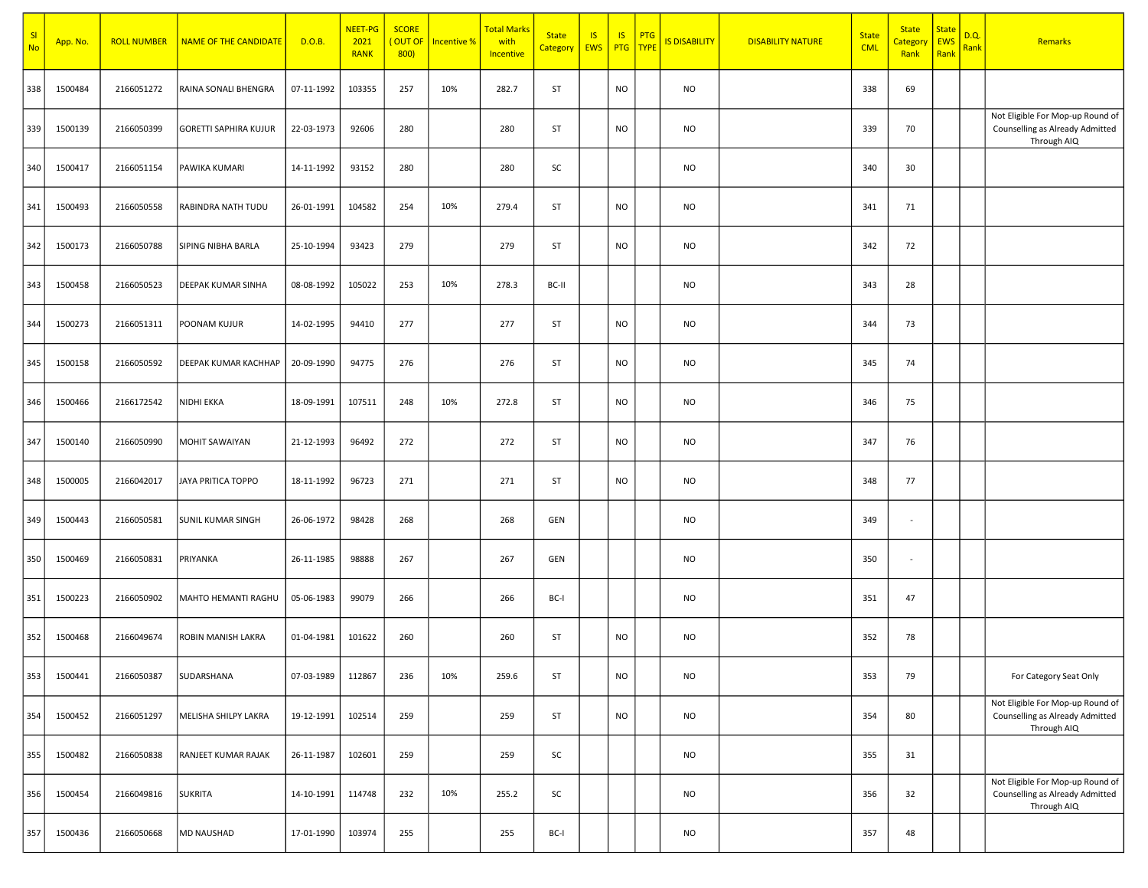| SI<br><b>No</b> | App. No. | <b>ROLL NUMBER</b> | NAME OF THE CANDIDATE        | D.O.B.     | NEET-PG<br>2021<br><b>RANK</b> | <b>SCORE</b><br>(OUT OF<br>800 | <b>Incentive %</b> | <mark>Total Marks</mark><br>with<br>Incentive | <b>State</b><br>Category | <b>IS</b><br>EWS   PTG TYPE | IS.       | PTG | <b>IS DISABILITY</b> | <b>DISABILITY NATURE</b> | <b>State</b><br><b>CML</b> | <b>State</b><br>Categor<br>Rank | <b>State</b><br><b>EWS</b><br>Rank | D.Q.<br>Rank | Remarks                                                                            |
|-----------------|----------|--------------------|------------------------------|------------|--------------------------------|--------------------------------|--------------------|-----------------------------------------------|--------------------------|-----------------------------|-----------|-----|----------------------|--------------------------|----------------------------|---------------------------------|------------------------------------|--------------|------------------------------------------------------------------------------------|
| 338             | 1500484  | 2166051272         | RAINA SONALI BHENGRA         | 07-11-1992 | 103355                         | 257                            | 10%                | 282.7                                         | ST                       |                             | <b>NO</b> |     | <b>NO</b>            |                          | 338                        | 69                              |                                    |              |                                                                                    |
| 339             | 1500139  | 2166050399         | <b>GORETTI SAPHIRA KUJUR</b> | 22-03-1973 | 92606                          | 280                            |                    | 280                                           | ST                       |                             | <b>NO</b> |     | <b>NO</b>            |                          | 339                        | 70                              |                                    |              | Not Eligible For Mop-up Round of<br>Counselling as Already Admitted<br>Through AIQ |
| 340             | 1500417  | 2166051154         | PAWIKA KUMARI                | 14-11-1992 | 93152                          | 280                            |                    | 280                                           | SC                       |                             |           |     | <b>NO</b>            |                          | 340                        | 30                              |                                    |              |                                                                                    |
| 341             | 1500493  | 2166050558         | RABINDRA NATH TUDU           | 26-01-1991 | 104582                         | 254                            | 10%                | 279.4                                         | ST                       |                             | <b>NO</b> |     | <b>NO</b>            |                          | 341                        | 71                              |                                    |              |                                                                                    |
| 342             | 1500173  | 2166050788         | SIPING NIBHA BARLA           | 25-10-1994 | 93423                          | 279                            |                    | 279                                           | ST                       |                             | <b>NO</b> |     | <b>NO</b>            |                          | 342                        | 72                              |                                    |              |                                                                                    |
| 343             | 1500458  | 2166050523         | DEEPAK KUMAR SINHA           | 08-08-1992 | 105022                         | 253                            | 10%                | 278.3                                         | BC-II                    |                             |           |     | <b>NO</b>            |                          | 343                        | 28                              |                                    |              |                                                                                    |
| 344             | 1500273  | 2166051311         | POONAM KUJUR                 | 14-02-1995 | 94410                          | 277                            |                    | 277                                           | ST                       |                             | <b>NO</b> |     | <b>NO</b>            |                          | 344                        | 73                              |                                    |              |                                                                                    |
| 345             | 1500158  | 2166050592         | DEEPAK KUMAR KACHHAP         | 20-09-1990 | 94775                          | 276                            |                    | 276                                           | ST                       |                             | <b>NO</b> |     | <b>NO</b>            |                          | 345                        | 74                              |                                    |              |                                                                                    |
| 346             | 1500466  | 2166172542         | NIDHI EKKA                   | 18-09-1991 | 107511                         | 248                            | 10%                | 272.8                                         | ST                       |                             | <b>NO</b> |     | <b>NO</b>            |                          | 346                        | 75                              |                                    |              |                                                                                    |
| 347             | 1500140  | 2166050990         | <b>MOHIT SAWAIYAN</b>        | 21-12-1993 | 96492                          | 272                            |                    | 272                                           | ST                       |                             | <b>NO</b> |     | <b>NO</b>            |                          | 347                        | 76                              |                                    |              |                                                                                    |
| 348             | 1500005  | 2166042017         | JAYA PRITICA TOPPO           | 18-11-1992 | 96723                          | 271                            |                    | 271                                           | ST                       |                             | <b>NO</b> |     | <b>NO</b>            |                          | 348                        | 77                              |                                    |              |                                                                                    |
| 349             | 1500443  | 2166050581         | <b>SUNIL KUMAR SINGH</b>     | 26-06-1972 | 98428                          | 268                            |                    | 268                                           | GEN                      |                             |           |     | <b>NO</b>            |                          | 349                        | $\overline{\phantom{a}}$        |                                    |              |                                                                                    |
| 350             | 1500469  | 2166050831         | PRIYANKA                     | 26-11-1985 | 98888                          | 267                            |                    | 267                                           | GEN                      |                             |           |     | <b>NO</b>            |                          | 350                        | $\overline{\phantom{a}}$        |                                    |              |                                                                                    |
| 351             | 1500223  | 2166050902         | MAHTO HEMANTI RAGHU          | 05-06-1983 | 99079                          | 266                            |                    | 266                                           | BC-I                     |                             |           |     | <b>NO</b>            |                          | 351                        | 47                              |                                    |              |                                                                                    |
| 352             | 1500468  | 2166049674         | ROBIN MANISH LAKRA           | 01-04-1981 | 101622                         | 260                            |                    | 260                                           | ST                       |                             | <b>NO</b> |     | <b>NO</b>            |                          | 352                        | 78                              |                                    |              |                                                                                    |
| 353             | 1500441  | 2166050387         | SUDARSHANA                   | 07-03-1989 | 112867                         | 236                            | 10%                | 259.6                                         | ST                       |                             | <b>NO</b> |     | <b>NO</b>            |                          | 353                        | 79                              |                                    |              | For Category Seat Only                                                             |
| 354             | 1500452  | 2166051297         | MELISHA SHILPY LAKRA         | 19-12-1991 | 102514                         | 259                            |                    | 259                                           | ST                       |                             | <b>NO</b> |     | <b>NO</b>            |                          | 354                        | 80                              |                                    |              | Not Eligible For Mop-up Round of<br>Counselling as Already Admitted<br>Through AIQ |
| 355             | 1500482  | 2166050838         | RANJEET KUMAR RAJAK          | 26-11-1987 | 102601                         | 259                            |                    | 259                                           | SC                       |                             |           |     | <b>NO</b>            |                          | 355                        | 31                              |                                    |              |                                                                                    |
| 356             | 1500454  | 2166049816         | <b>SUKRITA</b>               | 14-10-1991 | 114748                         | 232                            | 10%                | 255.2                                         | SC                       |                             |           |     | <b>NO</b>            |                          | 356                        | 32                              |                                    |              | Not Eligible For Mop-up Round of<br>Counselling as Already Admitted<br>Through AIQ |
| 357             | 1500436  | 2166050668         | MD NAUSHAD                   | 17-01-1990 | 103974                         | 255                            |                    | 255                                           | BC-I                     |                             |           |     | <b>NO</b>            |                          | 357                        | 48                              |                                    |              |                                                                                    |